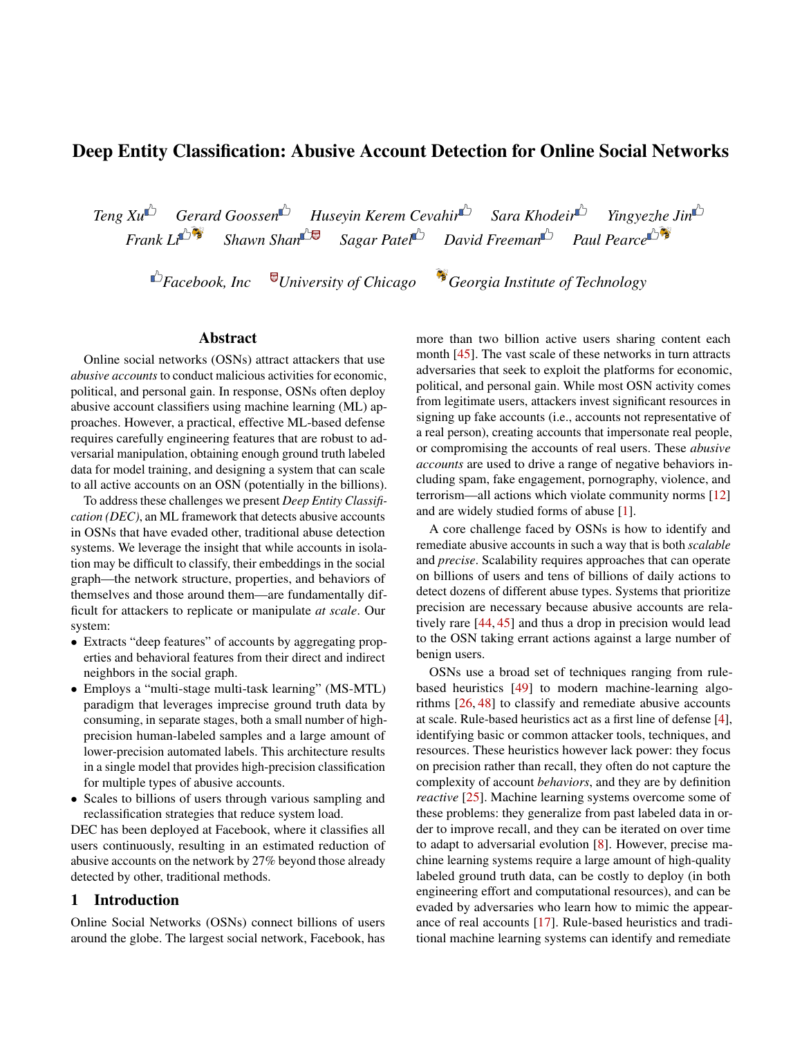# Deep Entity Classification: Abusive Account Detection for Online Social Networks

*Teng Xu*<sup> $\triangle$ </sup> *Gerard Goossen*<sup> $\triangle$ </sup> *Huseyin Kerem Cevahir Sara Khodeir Yingyezhe Jin*<sup> $\triangle$ </sup> *Frank Li*<sup> $\triangle$ </sup> *Shawn Shan*<sup> $\triangle$ </sup> *Sagar Patel David Freeman*<sup> $\triangle$ </sup> *Paul Pearce*<sup> $\triangle$ </sup> *Frank Li Shawn Shan Sagar Patel David Freeman Paul Pearce*

*Facebook, Inc University of Chicago Georgia Institute of Technology*

## Abstract

Online social networks (OSNs) attract attackers that use *abusive accounts* to conduct malicious activities for economic, political, and personal gain. In response, OSNs often deploy abusive account classifiers using machine learning (ML) approaches. However, a practical, effective ML-based defense requires carefully engineering features that are robust to adversarial manipulation, obtaining enough ground truth labeled data for model training, and designing a system that can scale to all active accounts on an OSN (potentially in the billions).

To address these challenges we present *Deep Entity Classification (DEC)*, an ML framework that detects abusive accounts in OSNs that have evaded other, traditional abuse detection systems. We leverage the insight that while accounts in isolation may be difficult to classify, their embeddings in the social graph—the network structure, properties, and behaviors of themselves and those around them—are fundamentally difficult for attackers to replicate or manipulate *at scale*. Our system:

- Extracts "deep features" of accounts by aggregating properties and behavioral features from their direct and indirect neighbors in the social graph.
- Employs a "multi-stage multi-task learning" (MS-MTL) paradigm that leverages imprecise ground truth data by consuming, in separate stages, both a small number of highprecision human-labeled samples and a large amount of lower-precision automated labels. This architecture results in a single model that provides high-precision classification for multiple types of abusive accounts.
- Scales to billions of users through various sampling and reclassification strategies that reduce system load.

DEC has been deployed at Facebook, where it classifies all users continuously, resulting in an estimated reduction of abusive accounts on the network by 27% beyond those already detected by other, traditional methods.

## 1 Introduction

Online Social Networks (OSNs) connect billions of users around the globe. The largest social network, Facebook, has

more than two billion active users sharing content each month [\[45\]](#page-16-0). The vast scale of these networks in turn attracts adversaries that seek to exploit the platforms for economic, political, and personal gain. While most OSN activity comes from legitimate users, attackers invest significant resources in signing up fake accounts (i.e., accounts not representative of a real person), creating accounts that impersonate real people, or compromising the accounts of real users. These *abusive accounts* are used to drive a range of negative behaviors including spam, fake engagement, pornography, violence, and terrorism—all actions which violate community norms [\[12\]](#page-15-0) and are widely studied forms of abuse [\[1\]](#page-15-1).

A core challenge faced by OSNs is how to identify and remediate abusive accounts in such a way that is both *scalable* and *precise*. Scalability requires approaches that can operate on billions of users and tens of billions of daily actions to detect dozens of different abuse types. Systems that prioritize precision are necessary because abusive accounts are relatively rare [\[44,](#page-16-1) [45\]](#page-16-0) and thus a drop in precision would lead to the OSN taking errant actions against a large number of benign users.

OSNs use a broad set of techniques ranging from rulebased heuristics [\[49\]](#page-17-0) to modern machine-learning algorithms [\[26,](#page-16-2) [48\]](#page-17-1) to classify and remediate abusive accounts at scale. Rule-based heuristics act as a first line of defense [\[4\]](#page-15-2), identifying basic or common attacker tools, techniques, and resources. These heuristics however lack power: they focus on precision rather than recall, they often do not capture the complexity of account *behaviors*, and they are by definition *reactive* [\[25\]](#page-16-3). Machine learning systems overcome some of these problems: they generalize from past labeled data in order to improve recall, and they can be iterated on over time to adapt to adversarial evolution [\[8\]](#page-15-3). However, precise machine learning systems require a large amount of high-quality labeled ground truth data, can be costly to deploy (in both engineering effort and computational resources), and can be evaded by adversaries who learn how to mimic the appearance of real accounts [\[17\]](#page-15-4). Rule-based heuristics and traditional machine learning systems can identify and remediate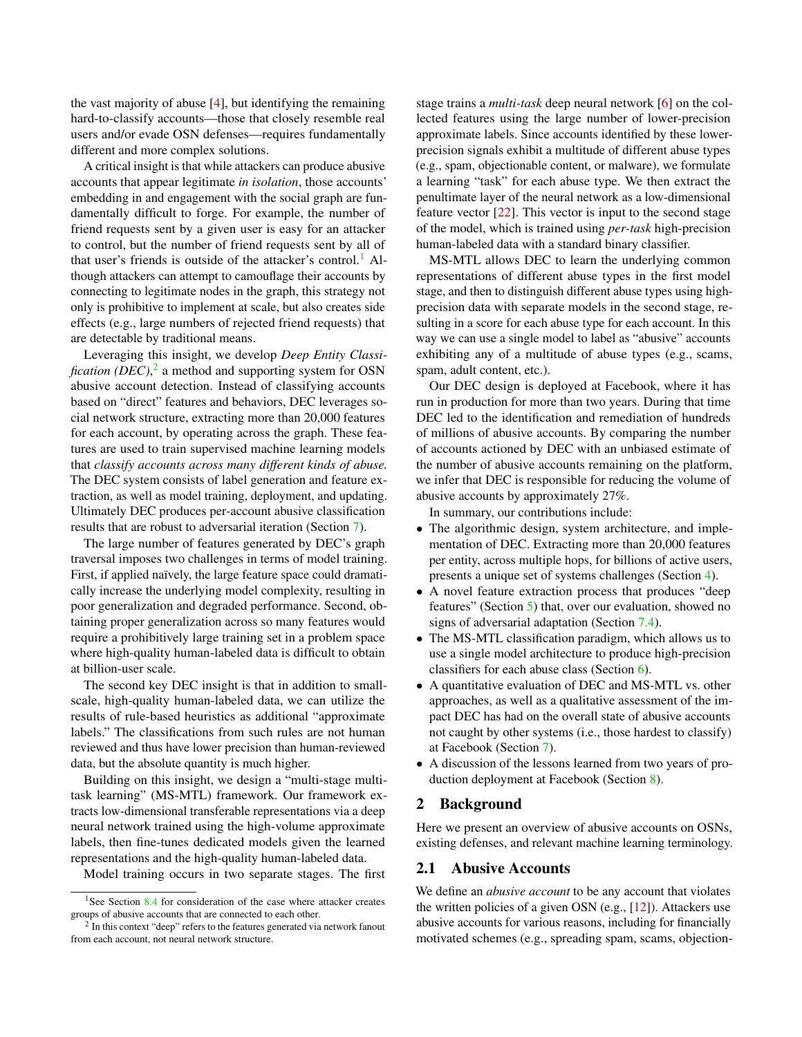the vast majority of abuse [\[4\]](#page-15-2), but identifying the remaining hard-to-classify accounts—those that closely resemble real users and/or evade OSN defenses—requires fundamentally different and more complex solutions.

A critical insight is that while attackers can produce abusive accounts that appear legitimate *in isolation*, those accounts' embedding in and engagement with the social graph are fundamentally difficult to forge. For example, the number of friend requests sent by a given user is easy for an attacker to control, but the number of friend requests sent by all of that user's friends is outside of the attacker's control.<sup>[1](#page-1-0)</sup> Although attackers can attempt to camouflage their accounts by connecting to legitimate nodes in the graph, this strategy not only is prohibitive to implement at scale, but also creates side effects (e.g., large numbers of rejected friend requests) that are detectable by traditional means.

Leveraging this insight, we develop *Deep Entity Classification (DEC)*, [2](#page-1-1) a method and supporting system for OSN abusive account detection. Instead of classifying accounts based on "direct" features and behaviors, DEC leverages social network structure, extracting more than 20,000 features for each account, by operating across the graph. These features are used to train supervised machine learning models that *classify accounts across many different kinds of abuse.* The DEC system consists of label generation and feature extraction, as well as model training, deployment, and updating. Ultimately DEC produces per-account abusive classification results that are robust to adversarial iteration (Section [7\)](#page-9-0).

The large number of features generated by DEC's graph traversal imposes two challenges in terms of model training. First, if applied naïvely, the large feature space could dramatically increase the underlying model complexity, resulting in poor generalization and degraded performance. Second, obtaining proper generalization across so many features would require a prohibitively large training set in a problem space where high-quality human-labeled data is difficult to obtain at billion-user scale.

The second key DEC insight is that in addition to smallscale, high-quality human-labeled data, we can utilize the results of rule-based heuristics as additional "approximate labels." The classifications from such rules are not human reviewed and thus have lower precision than human-reviewed data, but the absolute quantity is much higher.

Building on this insight, we design a "multi-stage multitask learning" (MS-MTL) framework. Our framework extracts low-dimensional transferable representations via a deep neural network trained using the high-volume approximate labels, then fine-tunes dedicated models given the learned representations and the high-quality human-labeled data.

Model training occurs in two separate stages. The first

stage trains a *multi-task* deep neural network [\[6\]](#page-15-5) on the collected features using the large number of lower-precision approximate labels. Since accounts identified by these lowerprecision signals exhibit a multitude of different abuse types (e.g., spam, objectionable content, or malware), we formulate a learning "task" for each abuse type. We then extract the penultimate layer of the neural network as a low-dimensional feature vector [\[22\]](#page-15-6). This vector is input to the second stage of the model, which is trained using *per-task* high-precision human-labeled data with a standard binary classifier.

MS-MTL allows DEC to learn the underlying common representations of different abuse types in the first model stage, and then to distinguish different abuse types using highprecision data with separate models in the second stage, resulting in a score for each abuse type for each account. In this way we can use a single model to label as "abusive" accounts exhibiting any of a multitude of abuse types (e.g., scams, spam, adult content, etc.).

Our DEC design is deployed at Facebook, where it has run in production for more than two years. During that time DEC led to the identification and remediation of hundreds of millions of abusive accounts. By comparing the number of accounts actioned by DEC with an unbiased estimate of the number of abusive accounts remaining on the platform, we infer that DEC is responsible for reducing the volume of abusive accounts by approximately 27%.

In summary, our contributions include:

- The algorithmic design, system architecture, and implementation of DEC. Extracting more than 20,000 features per entity, across multiple hops, for billions of active users, presents a unique set of systems challenges (Section [4\)](#page-4-0).
- A novel feature extraction process that produces "deep features" (Section [5\)](#page-5-0) that, over our evaluation, showed no signs of adversarial adaptation (Section [7.4\)](#page-12-0).
- The MS-MTL classification paradigm, which allows us to use a single model architecture to produce high-precision classifiers for each abuse class (Section [6\)](#page-7-0).
- A quantitative evaluation of DEC and MS-MTL vs. other approaches, as well as a qualitative assessment of the impact DEC has had on the overall state of abusive accounts not caught by other systems (i.e., those hardest to classify) at Facebook (Section [7\)](#page-9-0).
- A discussion of the lessons learned from two years of production deployment at Facebook (Section [8\)](#page-12-1).

### 2 Background

Here we present an overview of abusive accounts on OSNs, existing defenses, and relevant machine learning terminology.

## 2.1 Abusive Accounts

We define an *abusive account* to be any account that violates the written policies of a given OSN (e.g., [\[12\]](#page-15-0)). Attackers use abusive accounts for various reasons, including for financially motivated schemes (e.g., spreading spam, scams, objection-

<span id="page-1-0"></span><sup>&</sup>lt;sup>1</sup>See Section [8.4](#page-14-0) for consideration of the case where attacker creates groups of abusive accounts that are connected to each other.

<span id="page-1-1"></span><sup>&</sup>lt;sup>2</sup> In this context "deep" refers to the features generated via network fanout from each account, not neural network structure.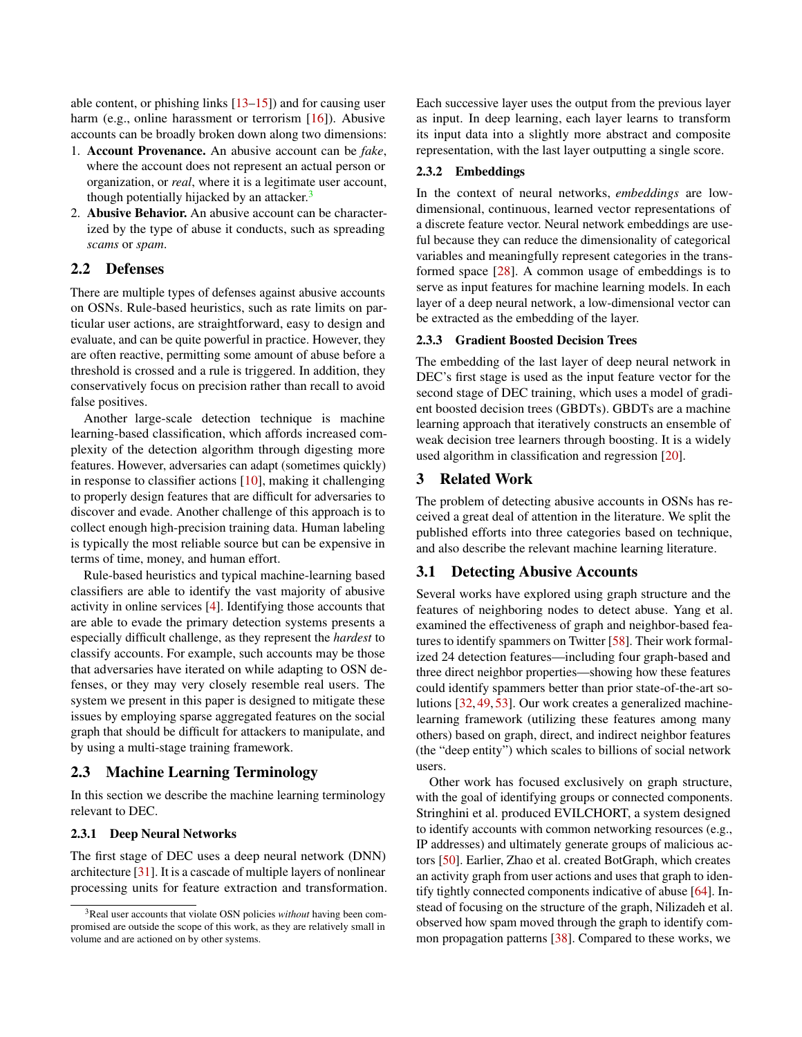able content, or phishing links [\[13–](#page-15-7)[15\]](#page-15-8)) and for causing user harm (e.g., online harassment or terrorism [\[16\]](#page-15-9)). Abusive accounts can be broadly broken down along two dimensions:

- 1. Account Provenance. An abusive account can be *fake*, where the account does not represent an actual person or organization, or *real*, where it is a legitimate user account, though potentially hijacked by an attacker. $3$
- 2. Abusive Behavior. An abusive account can be characterized by the type of abuse it conducts, such as spreading *scams* or *spam*.

## 2.2 Defenses

There are multiple types of defenses against abusive accounts on OSNs. Rule-based heuristics, such as rate limits on particular user actions, are straightforward, easy to design and evaluate, and can be quite powerful in practice. However, they are often reactive, permitting some amount of abuse before a threshold is crossed and a rule is triggered. In addition, they conservatively focus on precision rather than recall to avoid false positives.

Another large-scale detection technique is machine learning-based classification, which affords increased complexity of the detection algorithm through digesting more features. However, adversaries can adapt (sometimes quickly) in response to classifier actions [\[10\]](#page-15-10), making it challenging to properly design features that are difficult for adversaries to discover and evade. Another challenge of this approach is to collect enough high-precision training data. Human labeling is typically the most reliable source but can be expensive in terms of time, money, and human effort.

Rule-based heuristics and typical machine-learning based classifiers are able to identify the vast majority of abusive activity in online services [\[4\]](#page-15-2). Identifying those accounts that are able to evade the primary detection systems presents a especially difficult challenge, as they represent the *hardest* to classify accounts. For example, such accounts may be those that adversaries have iterated on while adapting to OSN defenses, or they may very closely resemble real users. The system we present in this paper is designed to mitigate these issues by employing sparse aggregated features on the social graph that should be difficult for attackers to manipulate, and by using a multi-stage training framework.

### 2.3 Machine Learning Terminology

In this section we describe the machine learning terminology relevant to DEC.

#### 2.3.1 Deep Neural Networks

The first stage of DEC uses a deep neural network (DNN) architecture [\[31\]](#page-16-4). It is a cascade of multiple layers of nonlinear processing units for feature extraction and transformation. Each successive layer uses the output from the previous layer as input. In deep learning, each layer learns to transform its input data into a slightly more abstract and composite representation, with the last layer outputting a single score.

#### 2.3.2 Embeddings

In the context of neural networks, *embeddings* are lowdimensional, continuous, learned vector representations of a discrete feature vector. Neural network embeddings are useful because they can reduce the dimensionality of categorical variables and meaningfully represent categories in the transformed space [\[28\]](#page-16-5). A common usage of embeddings is to serve as input features for machine learning models. In each layer of a deep neural network, a low-dimensional vector can be extracted as the embedding of the layer.

### 2.3.3 Gradient Boosted Decision Trees

The embedding of the last layer of deep neural network in DEC's first stage is used as the input feature vector for the second stage of DEC training, which uses a model of gradient boosted decision trees (GBDTs). GBDTs are a machine learning approach that iteratively constructs an ensemble of weak decision tree learners through boosting. It is a widely used algorithm in classification and regression [\[20\]](#page-15-11).

### 3 Related Work

The problem of detecting abusive accounts in OSNs has received a great deal of attention in the literature. We split the published efforts into three categories based on technique, and also describe the relevant machine learning literature.

## 3.1 Detecting Abusive Accounts

Several works have explored using graph structure and the features of neighboring nodes to detect abuse. Yang et al. examined the effectiveness of graph and neighbor-based features to identify spammers on Twitter [\[58\]](#page-17-2). Their work formalized 24 detection features—including four graph-based and three direct neighbor properties—showing how these features could identify spammers better than prior state-of-the-art solutions [\[32,](#page-16-6) [49,](#page-17-0) [53\]](#page-17-3). Our work creates a generalized machinelearning framework (utilizing these features among many others) based on graph, direct, and indirect neighbor features (the "deep entity") which scales to billions of social network users.

Other work has focused exclusively on graph structure, with the goal of identifying groups or connected components. Stringhini et al. produced EVILCHORT, a system designed to identify accounts with common networking resources (e.g., IP addresses) and ultimately generate groups of malicious actors [\[50\]](#page-17-4). Earlier, Zhao et al. created BotGraph, which creates an activity graph from user actions and uses that graph to identify tightly connected components indicative of abuse [\[64\]](#page-17-5). Instead of focusing on the structure of the graph, Nilizadeh et al. observed how spam moved through the graph to identify common propagation patterns [\[38\]](#page-16-7). Compared to these works, we

<span id="page-2-0"></span><sup>3</sup>Real user accounts that violate OSN policies *without* having been compromised are outside the scope of this work, as they are relatively small in volume and are actioned on by other systems.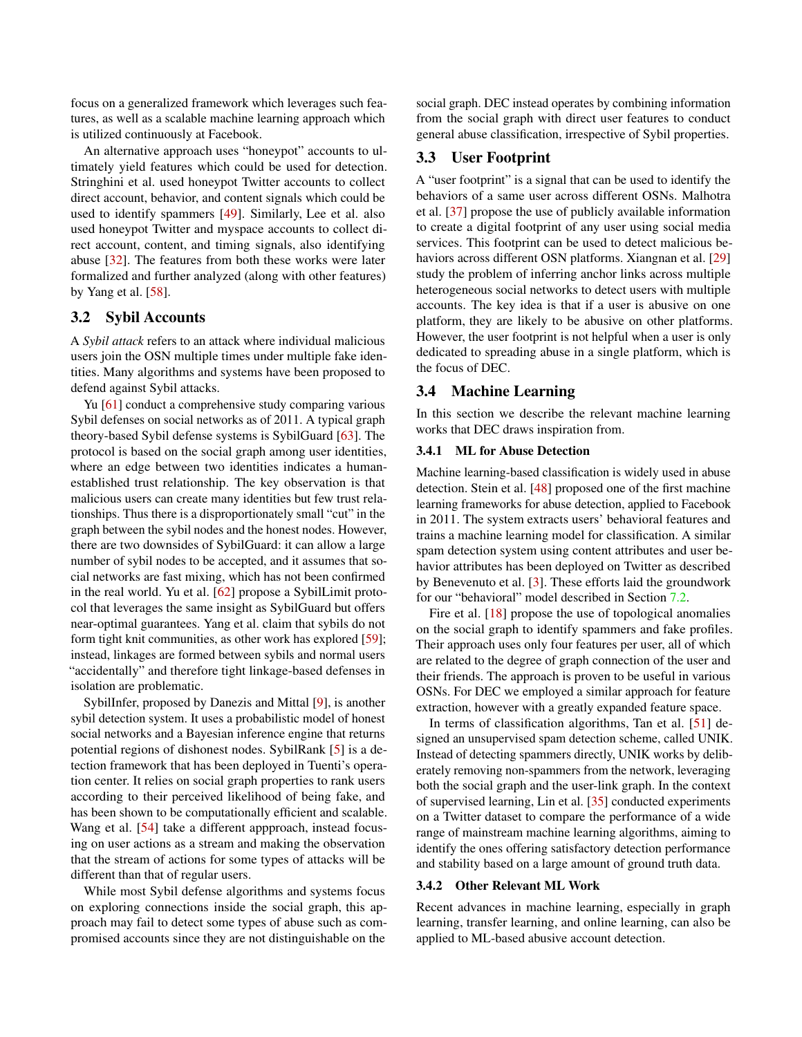focus on a generalized framework which leverages such features, as well as a scalable machine learning approach which is utilized continuously at Facebook.

An alternative approach uses "honeypot" accounts to ultimately yield features which could be used for detection. Stringhini et al. used honeypot Twitter accounts to collect direct account, behavior, and content signals which could be used to identify spammers [\[49\]](#page-17-0). Similarly, Lee et al. also used honeypot Twitter and myspace accounts to collect direct account, content, and timing signals, also identifying abuse [\[32\]](#page-16-6). The features from both these works were later formalized and further analyzed (along with other features) by Yang et al. [\[58\]](#page-17-2).

## 3.2 Sybil Accounts

A *Sybil attack* refers to an attack where individual malicious users join the OSN multiple times under multiple fake identities. Many algorithms and systems have been proposed to defend against Sybil attacks.

Yu [\[61\]](#page-17-6) conduct a comprehensive study comparing various Sybil defenses on social networks as of 2011. A typical graph theory-based Sybil defense systems is SybilGuard [\[63\]](#page-17-7). The protocol is based on the social graph among user identities, where an edge between two identities indicates a humanestablished trust relationship. The key observation is that malicious users can create many identities but few trust relationships. Thus there is a disproportionately small "cut" in the graph between the sybil nodes and the honest nodes. However, there are two downsides of SybilGuard: it can allow a large number of sybil nodes to be accepted, and it assumes that social networks are fast mixing, which has not been confirmed in the real world. Yu et al. [\[62\]](#page-17-8) propose a SybilLimit protocol that leverages the same insight as SybilGuard but offers near-optimal guarantees. Yang et al. claim that sybils do not form tight knit communities, as other work has explored [\[59\]](#page-17-9); instead, linkages are formed between sybils and normal users "accidentally" and therefore tight linkage-based defenses in isolation are problematic.

SybilInfer, proposed by Danezis and Mittal [\[9\]](#page-15-12), is another sybil detection system. It uses a probabilistic model of honest social networks and a Bayesian inference engine that returns potential regions of dishonest nodes. SybilRank [\[5\]](#page-15-13) is a detection framework that has been deployed in Tuenti's operation center. It relies on social graph properties to rank users according to their perceived likelihood of being fake, and has been shown to be computationally efficient and scalable. Wang et al. [\[54\]](#page-17-10) take a different appproach, instead focusing on user actions as a stream and making the observation that the stream of actions for some types of attacks will be different than that of regular users.

While most Sybil defense algorithms and systems focus on exploring connections inside the social graph, this approach may fail to detect some types of abuse such as compromised accounts since they are not distinguishable on the

social graph. DEC instead operates by combining information from the social graph with direct user features to conduct general abuse classification, irrespective of Sybil properties.

## 3.3 User Footprint

A "user footprint" is a signal that can be used to identify the behaviors of a same user across different OSNs. Malhotra et al. [\[37\]](#page-16-8) propose the use of publicly available information to create a digital footprint of any user using social media services. This footprint can be used to detect malicious be-haviors across different OSN platforms. Xiangnan et al. [\[29\]](#page-16-9) study the problem of inferring anchor links across multiple heterogeneous social networks to detect users with multiple accounts. The key idea is that if a user is abusive on one platform, they are likely to be abusive on other platforms. However, the user footprint is not helpful when a user is only dedicated to spreading abuse in a single platform, which is the focus of DEC.

## 3.4 Machine Learning

In this section we describe the relevant machine learning works that DEC draws inspiration from.

### 3.4.1 ML for Abuse Detection

Machine learning-based classification is widely used in abuse detection. Stein et al. [\[48\]](#page-17-1) proposed one of the first machine learning frameworks for abuse detection, applied to Facebook in 2011. The system extracts users' behavioral features and trains a machine learning model for classification. A similar spam detection system using content attributes and user behavior attributes has been deployed on Twitter as described by Benevenuto et al. [\[3\]](#page-15-14). These efforts laid the groundwork for our "behavioral" model described in Section [7.2.](#page-10-0)

Fire et al. [\[18\]](#page-15-15) propose the use of topological anomalies on the social graph to identify spammers and fake profiles. Their approach uses only four features per user, all of which are related to the degree of graph connection of the user and their friends. The approach is proven to be useful in various OSNs. For DEC we employed a similar approach for feature extraction, however with a greatly expanded feature space.

In terms of classification algorithms, Tan et al. [\[51\]](#page-17-11) designed an unsupervised spam detection scheme, called UNIK. Instead of detecting spammers directly, UNIK works by deliberately removing non-spammers from the network, leveraging both the social graph and the user-link graph. In the context of supervised learning, Lin et al. [\[35\]](#page-16-10) conducted experiments on a Twitter dataset to compare the performance of a wide range of mainstream machine learning algorithms, aiming to identify the ones offering satisfactory detection performance and stability based on a large amount of ground truth data.

#### 3.4.2 Other Relevant ML Work

Recent advances in machine learning, especially in graph learning, transfer learning, and online learning, can also be applied to ML-based abusive account detection.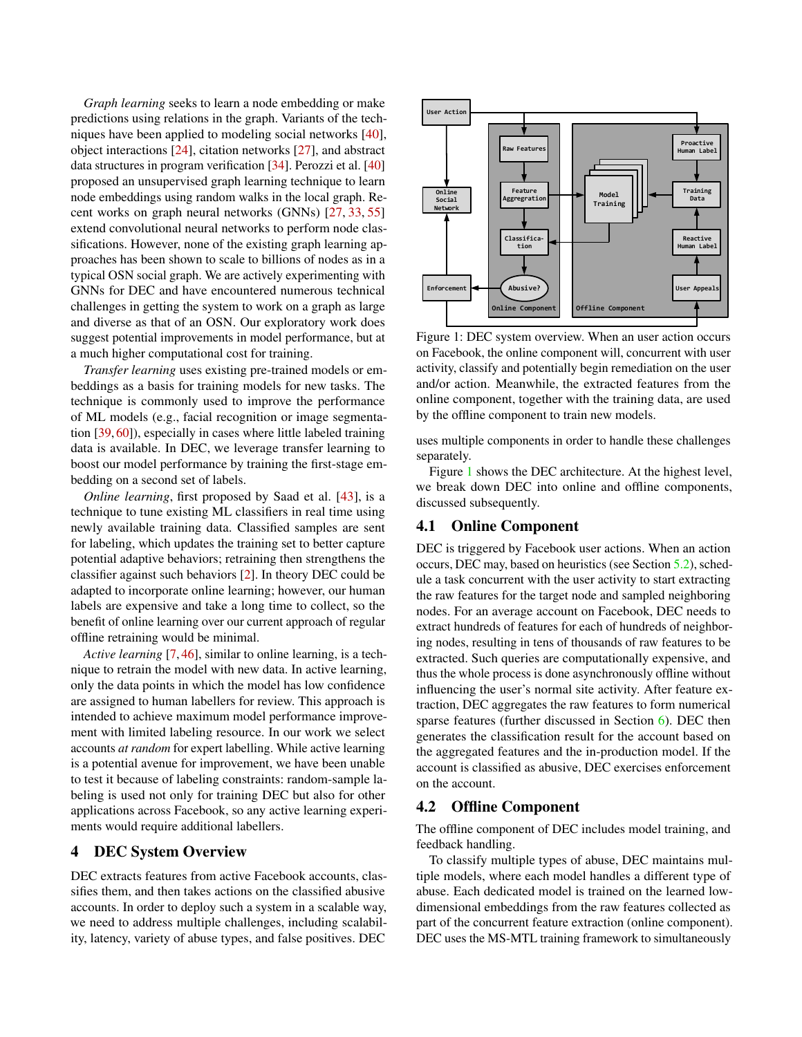*Graph learning* seeks to learn a node embedding or make predictions using relations in the graph. Variants of the techniques have been applied to modeling social networks [\[40\]](#page-16-11), object interactions [\[24\]](#page-16-12), citation networks [\[27\]](#page-16-13), and abstract data structures in program verification [\[34\]](#page-16-14). Perozzi et al. [\[40\]](#page-16-11) proposed an unsupervised graph learning technique to learn node embeddings using random walks in the local graph. Recent works on graph neural networks (GNNs) [\[27,](#page-16-13) [33,](#page-16-15) [55\]](#page-17-12) extend convolutional neural networks to perform node classifications. However, none of the existing graph learning approaches has been shown to scale to billions of nodes as in a typical OSN social graph. We are actively experimenting with GNNs for DEC and have encountered numerous technical challenges in getting the system to work on a graph as large and diverse as that of an OSN. Our exploratory work does suggest potential improvements in model performance, but at a much higher computational cost for training.

*Transfer learning* uses existing pre-trained models or embeddings as a basis for training models for new tasks. The technique is commonly used to improve the performance of ML models (e.g., facial recognition or image segmentation [\[39,](#page-16-16) [60\]](#page-17-13)), especially in cases where little labeled training data is available. In DEC, we leverage transfer learning to boost our model performance by training the first-stage embedding on a second set of labels.

*Online learning*, first proposed by Saad et al. [\[43\]](#page-16-17), is a technique to tune existing ML classifiers in real time using newly available training data. Classified samples are sent for labeling, which updates the training set to better capture potential adaptive behaviors; retraining then strengthens the classifier against such behaviors [\[2\]](#page-15-16). In theory DEC could be adapted to incorporate online learning; however, our human labels are expensive and take a long time to collect, so the benefit of online learning over our current approach of regular offline retraining would be minimal.

*Active learning* [\[7,](#page-15-17) [46\]](#page-16-18), similar to online learning, is a technique to retrain the model with new data. In active learning, only the data points in which the model has low confidence are assigned to human labellers for review. This approach is intended to achieve maximum model performance improvement with limited labeling resource. In our work we select accounts *at random* for expert labelling. While active learning is a potential avenue for improvement, we have been unable to test it because of labeling constraints: random-sample labeling is used not only for training DEC but also for other applications across Facebook, so any active learning experiments would require additional labellers.

### <span id="page-4-0"></span>4 DEC System Overview

DEC extracts features from active Facebook accounts, classifies them, and then takes actions on the classified abusive accounts. In order to deploy such a system in a scalable way, we need to address multiple challenges, including scalability, latency, variety of abuse types, and false positives. DEC

<span id="page-4-1"></span>

Figure 1: DEC system overview. When an user action occurs on Facebook, the online component will, concurrent with user activity, classify and potentially begin remediation on the user and/or action. Meanwhile, the extracted features from the online component, together with the training data, are used by the offline component to train new models.

uses multiple components in order to handle these challenges separately.

Figure [1](#page-4-1) shows the DEC architecture. At the highest level, we break down DEC into online and offline components, discussed subsequently.

## 4.1 Online Component

DEC is triggered by Facebook user actions. When an action occurs, DEC may, based on heuristics (see Section [5.2\)](#page-6-0), schedule a task concurrent with the user activity to start extracting the raw features for the target node and sampled neighboring nodes. For an average account on Facebook, DEC needs to extract hundreds of features for each of hundreds of neighboring nodes, resulting in tens of thousands of raw features to be extracted. Such queries are computationally expensive, and thus the whole process is done asynchronously offline without influencing the user's normal site activity. After feature extraction, DEC aggregates the raw features to form numerical sparse features (further discussed in Section [6\)](#page-7-0). DEC then generates the classification result for the account based on the aggregated features and the in-production model. If the account is classified as abusive, DEC exercises enforcement on the account.

### 4.2 Offline Component

The offline component of DEC includes model training, and feedback handling.

To classify multiple types of abuse, DEC maintains multiple models, where each model handles a different type of abuse. Each dedicated model is trained on the learned lowdimensional embeddings from the raw features collected as part of the concurrent feature extraction (online component). DEC uses the MS-MTL training framework to simultaneously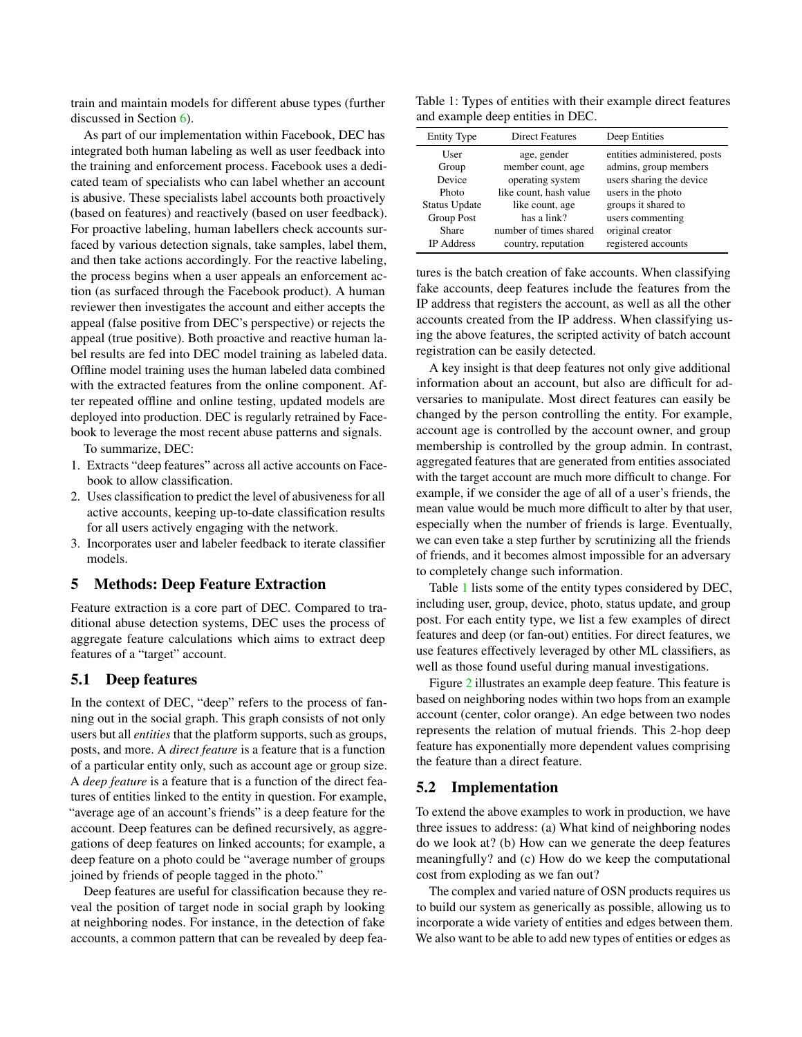train and maintain models for different abuse types (further discussed in Section [6\)](#page-7-0).

As part of our implementation within Facebook, DEC has integrated both human labeling as well as user feedback into the training and enforcement process. Facebook uses a dedicated team of specialists who can label whether an account is abusive. These specialists label accounts both proactively (based on features) and reactively (based on user feedback). For proactive labeling, human labellers check accounts surfaced by various detection signals, take samples, label them, and then take actions accordingly. For the reactive labeling, the process begins when a user appeals an enforcement action (as surfaced through the Facebook product). A human reviewer then investigates the account and either accepts the appeal (false positive from DEC's perspective) or rejects the appeal (true positive). Both proactive and reactive human label results are fed into DEC model training as labeled data. Offline model training uses the human labeled data combined with the extracted features from the online component. After repeated offline and online testing, updated models are deployed into production. DEC is regularly retrained by Facebook to leverage the most recent abuse patterns and signals.

To summarize, DEC:

- 1. Extracts "deep features" across all active accounts on Facebook to allow classification.
- 2. Uses classification to predict the level of abusiveness for all active accounts, keeping up-to-date classification results for all users actively engaging with the network.
- 3. Incorporates user and labeler feedback to iterate classifier models.

### <span id="page-5-0"></span>5 Methods: Deep Feature Extraction

Feature extraction is a core part of DEC. Compared to traditional abuse detection systems, DEC uses the process of aggregate feature calculations which aims to extract deep features of a "target" account.

### <span id="page-5-2"></span>5.1 Deep features

In the context of DEC, "deep" refers to the process of fanning out in the social graph. This graph consists of not only users but all *entities* that the platform supports, such as groups, posts, and more. A *direct feature* is a feature that is a function of a particular entity only, such as account age or group size. A *deep feature* is a feature that is a function of the direct features of entities linked to the entity in question. For example, "average age of an account's friends" is a deep feature for the account. Deep features can be defined recursively, as aggregations of deep features on linked accounts; for example, a deep feature on a photo could be "average number of groups joined by friends of people tagged in the photo."

Deep features are useful for classification because they reveal the position of target node in social graph by looking at neighboring nodes. For instance, in the detection of fake accounts, a common pattern that can be revealed by deep fea-

<span id="page-5-1"></span>Table 1: Types of entities with their example direct features and example deep entities in DEC.

| <b>Entity Type</b>   | <b>Direct Features</b> | Deep Entities                |
|----------------------|------------------------|------------------------------|
| User                 | age, gender            | entities administered, posts |
| Group                | member count, age      | admins, group members        |
| Device               | operating system       | users sharing the device     |
| Photo                | like count, hash value | users in the photo           |
| <b>Status Update</b> | like count, age        | groups it shared to          |
| <b>Group Post</b>    | has a link?            | users commenting             |
| Share                | number of times shared | original creator             |
| <b>IP</b> Address    | country, reputation    | registered accounts          |

tures is the batch creation of fake accounts. When classifying fake accounts, deep features include the features from the IP address that registers the account, as well as all the other accounts created from the IP address. When classifying using the above features, the scripted activity of batch account registration can be easily detected.

A key insight is that deep features not only give additional information about an account, but also are difficult for adversaries to manipulate. Most direct features can easily be changed by the person controlling the entity. For example, account age is controlled by the account owner, and group membership is controlled by the group admin. In contrast, aggregated features that are generated from entities associated with the target account are much more difficult to change. For example, if we consider the age of all of a user's friends, the mean value would be much more difficult to alter by that user, especially when the number of friends is large. Eventually, we can even take a step further by scrutinizing all the friends of friends, and it becomes almost impossible for an adversary to completely change such information.

Table [1](#page-5-1) lists some of the entity types considered by DEC, including user, group, device, photo, status update, and group post. For each entity type, we list a few examples of direct features and deep (or fan-out) entities. For direct features, we use features effectively leveraged by other ML classifiers, as well as those found useful during manual investigations.

Figure [2](#page-6-1) illustrates an example deep feature. This feature is based on neighboring nodes within two hops from an example account (center, color orange). An edge between two nodes represents the relation of mutual friends. This 2-hop deep feature has exponentially more dependent values comprising the feature than a direct feature.

### 5.2 Implementation

To extend the above examples to work in production, we have three issues to address: (a) What kind of neighboring nodes do we look at? (b) How can we generate the deep features meaningfully? and (c) How do we keep the computational cost from exploding as we fan out?

The complex and varied nature of OSN products requires us to build our system as generically as possible, allowing us to incorporate a wide variety of entities and edges between them. We also want to be able to add new types of entities or edges as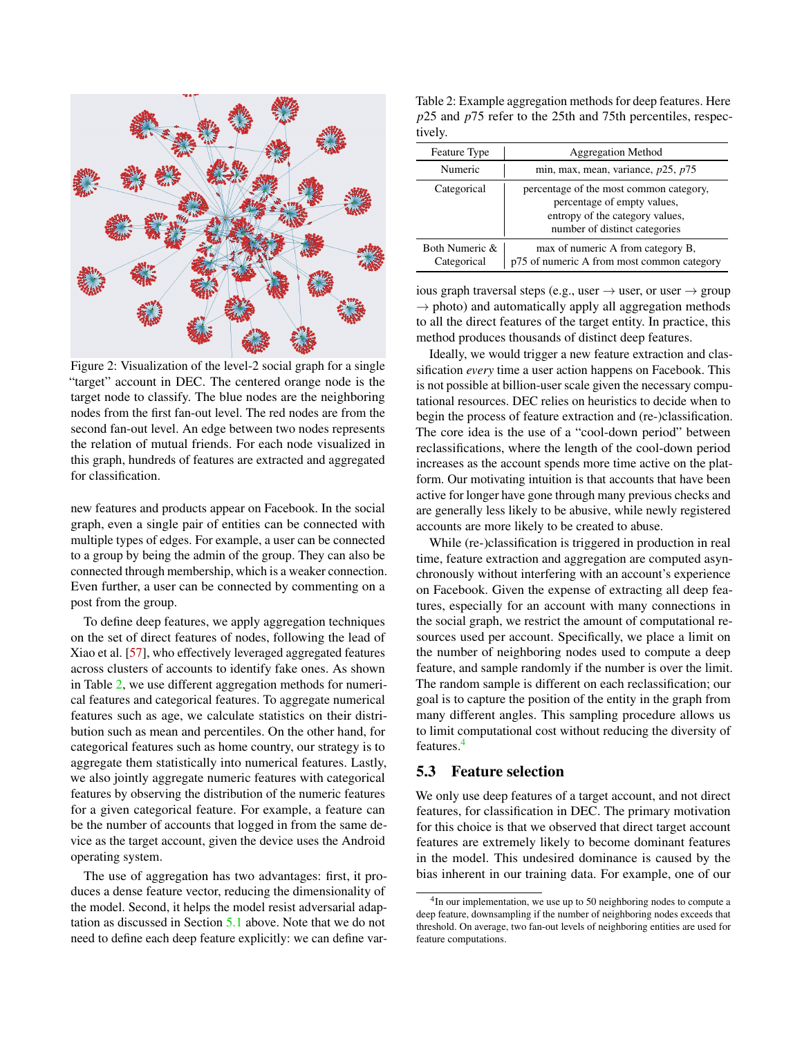<span id="page-6-1"></span>

Figure 2: Visualization of the level-2 social graph for a single "target" account in DEC. The centered orange node is the target node to classify. The blue nodes are the neighboring nodes from the first fan-out level. The red nodes are from the second fan-out level. An edge between two nodes represents the relation of mutual friends. For each node visualized in this graph, hundreds of features are extracted and aggregated for classification.

new features and products appear on Facebook. In the social graph, even a single pair of entities can be connected with multiple types of edges. For example, a user can be connected to a group by being the admin of the group. They can also be connected through membership, which is a weaker connection. Even further, a user can be connected by commenting on a post from the group.

To define deep features, we apply aggregation techniques on the set of direct features of nodes, following the lead of Xiao et al. [\[57\]](#page-17-14), who effectively leveraged aggregated features across clusters of accounts to identify fake ones. As shown in Table [2,](#page-6-0) we use different aggregation methods for numerical features and categorical features. To aggregate numerical features such as age, we calculate statistics on their distribution such as mean and percentiles. On the other hand, for categorical features such as home country, our strategy is to aggregate them statistically into numerical features. Lastly, we also jointly aggregate numeric features with categorical features by observing the distribution of the numeric features for a given categorical feature. For example, a feature can be the number of accounts that logged in from the same device as the target account, given the device uses the Android operating system.

The use of aggregation has two advantages: first, it produces a dense feature vector, reducing the dimensionality of the model. Second, it helps the model resist adversarial adaptation as discussed in Section [5.1](#page-5-2) above. Note that we do not need to define each deep feature explicitly: we can define var-

<span id="page-6-0"></span>Table 2: Example aggregation methods for deep features. Here *p*25 and *p*75 refer to the 25th and 75th percentiles, respectively.

| Feature Type                  | <b>Aggregation Method</b>                                                                                                                  |  |
|-------------------------------|--------------------------------------------------------------------------------------------------------------------------------------------|--|
| Numeric                       | min, max, mean, variance, $p25$ , $p75$                                                                                                    |  |
| Categorical                   | percentage of the most common category,<br>percentage of empty values,<br>entropy of the category values,<br>number of distinct categories |  |
| Both Numeric &<br>Categorical | max of numeric A from category B,<br>p75 of numeric A from most common category                                                            |  |

ious graph traversal steps (e.g., user  $\rightarrow$  user, or user  $\rightarrow$  group  $\rightarrow$  photo) and automatically apply all aggregation methods to all the direct features of the target entity. In practice, this method produces thousands of distinct deep features.

Ideally, we would trigger a new feature extraction and classification *every* time a user action happens on Facebook. This is not possible at billion-user scale given the necessary computational resources. DEC relies on heuristics to decide when to begin the process of feature extraction and (re-)classification. The core idea is the use of a "cool-down period" between reclassifications, where the length of the cool-down period increases as the account spends more time active on the platform. Our motivating intuition is that accounts that have been active for longer have gone through many previous checks and are generally less likely to be abusive, while newly registered accounts are more likely to be created to abuse.

While (re-)classification is triggered in production in real time, feature extraction and aggregation are computed asynchronously without interfering with an account's experience on Facebook. Given the expense of extracting all deep features, especially for an account with many connections in the social graph, we restrict the amount of computational resources used per account. Specifically, we place a limit on the number of neighboring nodes used to compute a deep feature, and sample randomly if the number is over the limit. The random sample is different on each reclassification; our goal is to capture the position of the entity in the graph from many different angles. This sampling procedure allows us to limit computational cost without reducing the diversity of features.[4](#page-6-2)

## 5.3 Feature selection

We only use deep features of a target account, and not direct features, for classification in DEC. The primary motivation for this choice is that we observed that direct target account features are extremely likely to become dominant features in the model. This undesired dominance is caused by the bias inherent in our training data. For example, one of our

<span id="page-6-2"></span><sup>&</sup>lt;sup>4</sup>In our implementation, we use up to 50 neighboring nodes to compute a deep feature, downsampling if the number of neighboring nodes exceeds that threshold. On average, two fan-out levels of neighboring entities are used for feature computations.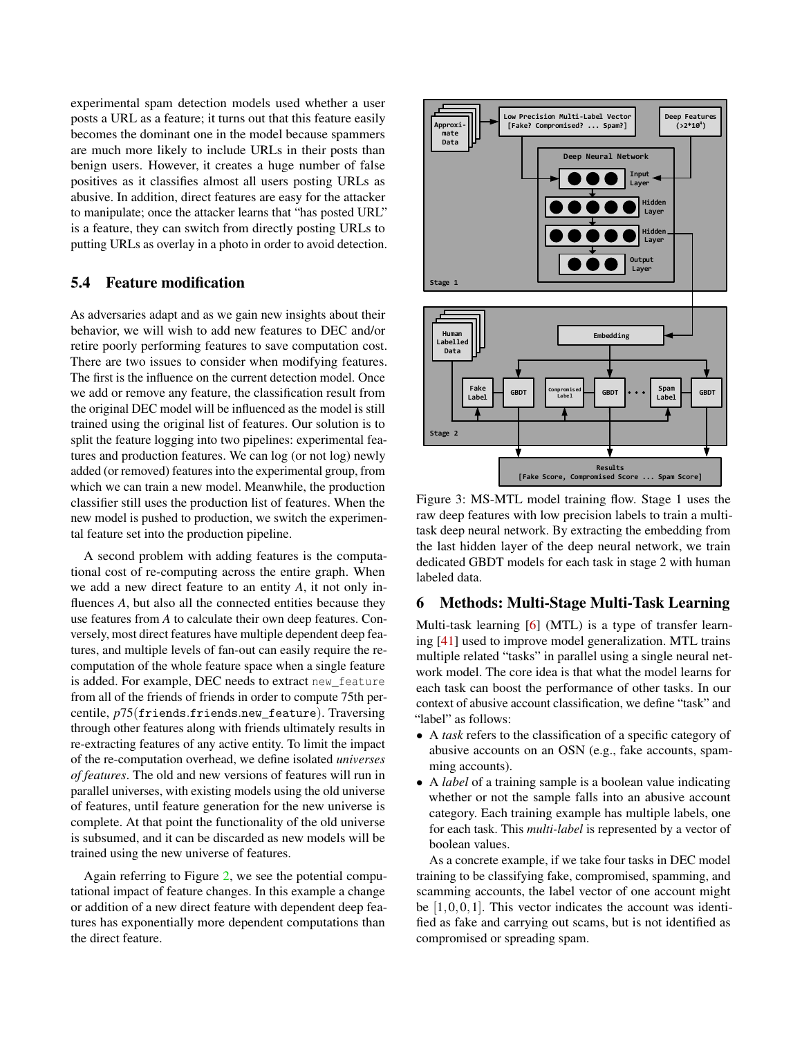experimental spam detection models used whether a user posts a URL as a feature; it turns out that this feature easily becomes the dominant one in the model because spammers are much more likely to include URLs in their posts than benign users. However, it creates a huge number of false positives as it classifies almost all users posting URLs as abusive. In addition, direct features are easy for the attacker to manipulate; once the attacker learns that "has posted URL" is a feature, they can switch from directly posting URLs to putting URLs as overlay in a photo in order to avoid detection.

## 5.4 Feature modification

As adversaries adapt and as we gain new insights about their behavior, we will wish to add new features to DEC and/or retire poorly performing features to save computation cost. There are two issues to consider when modifying features. The first is the influence on the current detection model. Once we add or remove any feature, the classification result from the original DEC model will be influenced as the model is still trained using the original list of features. Our solution is to split the feature logging into two pipelines: experimental features and production features. We can log (or not log) newly added (or removed) features into the experimental group, from which we can train a new model. Meanwhile, the production classifier still uses the production list of features. When the new model is pushed to production, we switch the experimental feature set into the production pipeline.

A second problem with adding features is the computational cost of re-computing across the entire graph. When we add a new direct feature to an entity *A*, it not only influences *A*, but also all the connected entities because they use features from *A* to calculate their own deep features. Conversely, most direct features have multiple dependent deep features, and multiple levels of fan-out can easily require the recomputation of the whole feature space when a single feature is added. For example, DEC needs to extract new\_feature from all of the friends of friends in order to compute 75th percentile, *p*75(friends.friends.new\_feature). Traversing through other features along with friends ultimately results in re-extracting features of any active entity. To limit the impact of the re-computation overhead, we define isolated *universes of features*. The old and new versions of features will run in parallel universes, with existing models using the old universe of features, until feature generation for the new universe is complete. At that point the functionality of the old universe is subsumed, and it can be discarded as new models will be trained using the new universe of features.

<span id="page-7-0"></span>Again referring to Figure [2,](#page-6-1) we see the potential computational impact of feature changes. In this example a change or addition of a new direct feature with dependent deep features has exponentially more dependent computations than the direct feature.

<span id="page-7-1"></span>

Figure 3: MS-MTL model training flow. Stage 1 uses the raw deep features with low precision labels to train a multitask deep neural network. By extracting the embedding from the last hidden layer of the deep neural network, we train dedicated GBDT models for each task in stage 2 with human labeled data.

## 6 Methods: Multi-Stage Multi-Task Learning

Multi-task learning [\[6\]](#page-15-5) (MTL) is a type of transfer learning [\[41\]](#page-16-19) used to improve model generalization. MTL trains multiple related "tasks" in parallel using a single neural network model. The core idea is that what the model learns for each task can boost the performance of other tasks. In our context of abusive account classification, we define "task" and "label" as follows:

- A *task* refers to the classification of a specific category of abusive accounts on an OSN (e.g., fake accounts, spamming accounts).
- A *label* of a training sample is a boolean value indicating whether or not the sample falls into an abusive account category. Each training example has multiple labels, one for each task. This *multi-label* is represented by a vector of boolean values.

As a concrete example, if we take four tasks in DEC model training to be classifying fake, compromised, spamming, and scamming accounts, the label vector of one account might be  $[1,0,0,1]$ . This vector indicates the account was identified as fake and carrying out scams, but is not identified as compromised or spreading spam.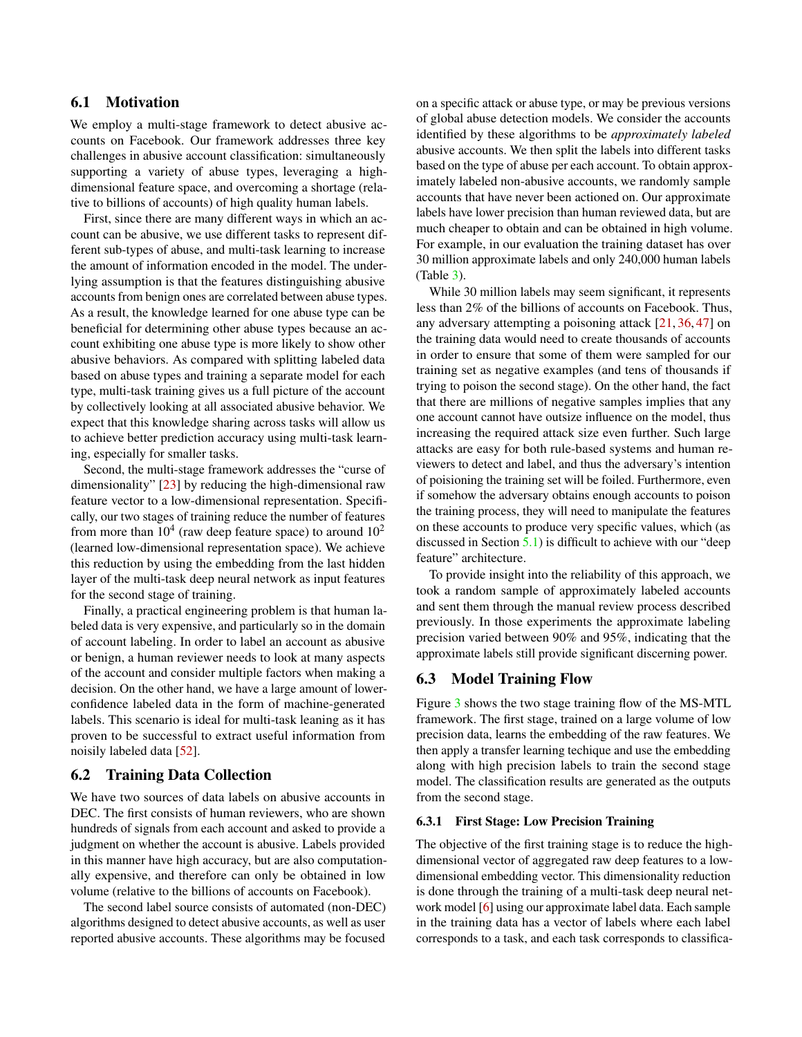## 6.1 Motivation

We employ a multi-stage framework to detect abusive accounts on Facebook. Our framework addresses three key challenges in abusive account classification: simultaneously supporting a variety of abuse types, leveraging a highdimensional feature space, and overcoming a shortage (relative to billions of accounts) of high quality human labels.

First, since there are many different ways in which an account can be abusive, we use different tasks to represent different sub-types of abuse, and multi-task learning to increase the amount of information encoded in the model. The underlying assumption is that the features distinguishing abusive accounts from benign ones are correlated between abuse types. As a result, the knowledge learned for one abuse type can be beneficial for determining other abuse types because an account exhibiting one abuse type is more likely to show other abusive behaviors. As compared with splitting labeled data based on abuse types and training a separate model for each type, multi-task training gives us a full picture of the account by collectively looking at all associated abusive behavior. We expect that this knowledge sharing across tasks will allow us to achieve better prediction accuracy using multi-task learning, especially for smaller tasks.

Second, the multi-stage framework addresses the "curse of dimensionality" [\[23\]](#page-16-20) by reducing the high-dimensional raw feature vector to a low-dimensional representation. Specifically, our two stages of training reduce the number of features from more than  $10^4$  (raw deep feature space) to around  $10^2$ (learned low-dimensional representation space). We achieve this reduction by using the embedding from the last hidden layer of the multi-task deep neural network as input features for the second stage of training.

Finally, a practical engineering problem is that human labeled data is very expensive, and particularly so in the domain of account labeling. In order to label an account as abusive or benign, a human reviewer needs to look at many aspects of the account and consider multiple factors when making a decision. On the other hand, we have a large amount of lowerconfidence labeled data in the form of machine-generated labels. This scenario is ideal for multi-task leaning as it has proven to be successful to extract useful information from noisily labeled data [\[52\]](#page-17-15).

## <span id="page-8-0"></span>6.2 Training Data Collection

We have two sources of data labels on abusive accounts in DEC. The first consists of human reviewers, who are shown hundreds of signals from each account and asked to provide a judgment on whether the account is abusive. Labels provided in this manner have high accuracy, but are also computationally expensive, and therefore can only be obtained in low volume (relative to the billions of accounts on Facebook).

The second label source consists of automated (non-DEC) algorithms designed to detect abusive accounts, as well as user reported abusive accounts. These algorithms may be focused

on a specific attack or abuse type, or may be previous versions of global abuse detection models. We consider the accounts identified by these algorithms to be *approximately labeled* abusive accounts. We then split the labels into different tasks based on the type of abuse per each account. To obtain approximately labeled non-abusive accounts, we randomly sample accounts that have never been actioned on. Our approximate labels have lower precision than human reviewed data, but are much cheaper to obtain and can be obtained in high volume. For example, in our evaluation the training dataset has over 30 million approximate labels and only 240,000 human labels (Table [3\)](#page-9-1).

While 30 million labels may seem significant, it represents less than 2% of the billions of accounts on Facebook. Thus, any adversary attempting a poisoning attack [\[21,](#page-15-18) [36,](#page-16-21) [47\]](#page-16-22) on the training data would need to create thousands of accounts in order to ensure that some of them were sampled for our training set as negative examples (and tens of thousands if trying to poison the second stage). On the other hand, the fact that there are millions of negative samples implies that any one account cannot have outsize influence on the model, thus increasing the required attack size even further. Such large attacks are easy for both rule-based systems and human reviewers to detect and label, and thus the adversary's intention of poisioning the training set will be foiled. Furthermore, even if somehow the adversary obtains enough accounts to poison the training process, they will need to manipulate the features on these accounts to produce very specific values, which (as discussed in Section [5.1\)](#page-5-2) is difficult to achieve with our "deep feature" architecture.

To provide insight into the reliability of this approach, we took a random sample of approximately labeled accounts and sent them through the manual review process described previously. In those experiments the approximate labeling precision varied between 90% and 95%, indicating that the approximate labels still provide significant discerning power.

### 6.3 Model Training Flow

Figure [3](#page-7-1) shows the two stage training flow of the MS-MTL framework. The first stage, trained on a large volume of low precision data, learns the embedding of the raw features. We then apply a transfer learning techique and use the embedding along with high precision labels to train the second stage model. The classification results are generated as the outputs from the second stage.

#### 6.3.1 First Stage: Low Precision Training

The objective of the first training stage is to reduce the highdimensional vector of aggregated raw deep features to a lowdimensional embedding vector. This dimensionality reduction is done through the training of a multi-task deep neural network model [\[6\]](#page-15-5) using our approximate label data. Each sample in the training data has a vector of labels where each label corresponds to a task, and each task corresponds to classifica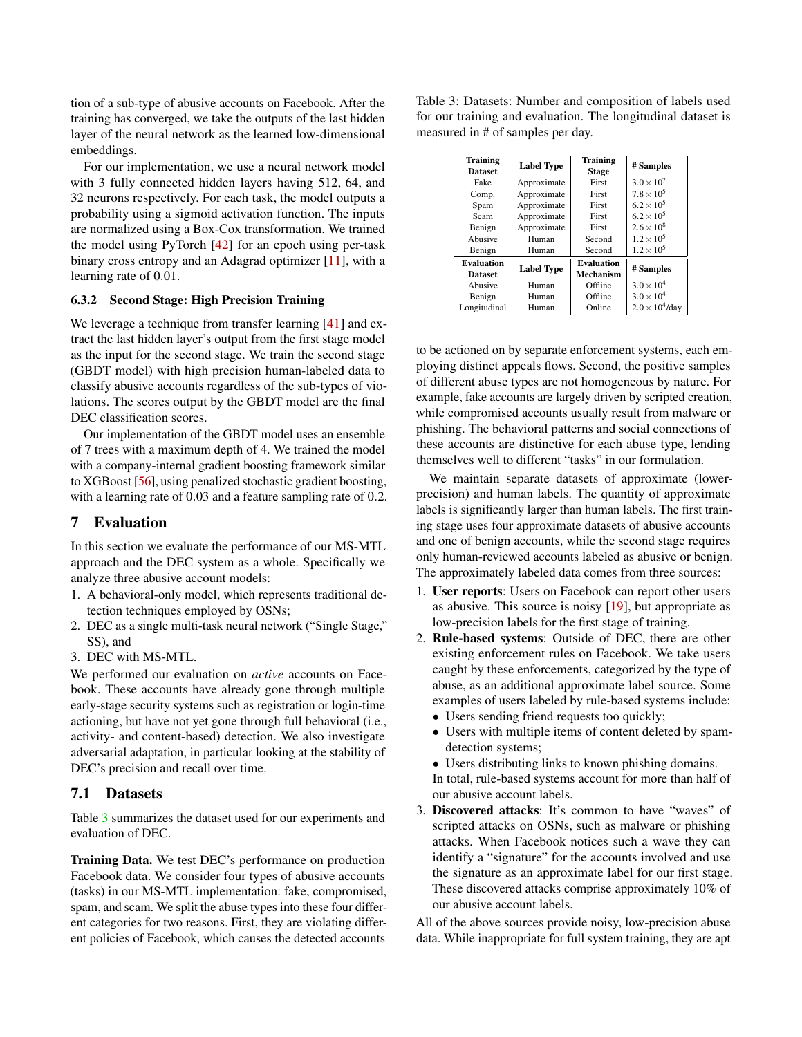tion of a sub-type of abusive accounts on Facebook. After the training has converged, we take the outputs of the last hidden layer of the neural network as the learned low-dimensional embeddings.

For our implementation, we use a neural network model with 3 fully connected hidden layers having 512, 64, and 32 neurons respectively. For each task, the model outputs a probability using a sigmoid activation function. The inputs are normalized using a Box-Cox transformation. We trained the model using PyTorch [\[42\]](#page-16-23) for an epoch using per-task binary cross entropy and an Adagrad optimizer [\[11\]](#page-15-19), with a learning rate of 0.01.

#### 6.3.2 Second Stage: High Precision Training

We leverage a technique from transfer learning [\[41\]](#page-16-19) and extract the last hidden layer's output from the first stage model as the input for the second stage. We train the second stage (GBDT model) with high precision human-labeled data to classify abusive accounts regardless of the sub-types of violations. The scores output by the GBDT model are the final DEC classification scores.

Our implementation of the GBDT model uses an ensemble of 7 trees with a maximum depth of 4. We trained the model with a company-internal gradient boosting framework similar to XGBoost [\[56\]](#page-17-16), using penalized stochastic gradient boosting, with a learning rate of 0.03 and a feature sampling rate of 0.2.

## <span id="page-9-0"></span>7 Evaluation

In this section we evaluate the performance of our MS-MTL approach and the DEC system as a whole. Specifically we analyze three abusive account models:

- 1. A behavioral-only model, which represents traditional detection techniques employed by OSNs;
- 2. DEC as a single multi-task neural network ("Single Stage," SS), and
- 3. DEC with MS-MTL.

We performed our evaluation on *active* accounts on Facebook. These accounts have already gone through multiple early-stage security systems such as registration or login-time actioning, but have not yet gone through full behavioral (i.e., activity- and content-based) detection. We also investigate adversarial adaptation, in particular looking at the stability of DEC's precision and recall over time.

#### 7.1 Datasets

Table [3](#page-9-1) summarizes the dataset used for our experiments and evaluation of DEC.

Training Data. We test DEC's performance on production Facebook data. We consider four types of abusive accounts (tasks) in our MS-MTL implementation: fake, compromised, spam, and scam. We split the abuse types into these four different categories for two reasons. First, they are violating different policies of Facebook, which causes the detected accounts

<span id="page-9-1"></span>Table 3: Datasets: Number and composition of labels used for our training and evaluation. The longitudinal dataset is measured in # of samples per day.

| <b>Training</b><br><b>Dataset</b> | <b>Label Type</b> | <b>Training</b><br><b>Stage</b> | # Samples              |
|-----------------------------------|-------------------|---------------------------------|------------------------|
| Fake                              | Approximate       | First                           | $3.0 \times 10^{7}$    |
| Comp.                             | Approximate       | First                           | $7.8 \times 10^{5}$    |
| Spam                              | Approximate       | First                           | $6.2 \times 10^{5}$    |
| Scam                              | Approximate       | First                           | $6.2 \times 10^{5}$    |
| Benign                            | Approximate       | First                           | $2.6 \times 10^{8}$    |
| Abusive                           | Human             | Second                          | $1.2 \times 10^{5}$    |
| Benign                            | Human             | Second                          | $1.2 \times 10^{5}$    |
| <b>Evaluation</b>                 | <b>Label Type</b> | <b>Evaluation</b>               | # Samples              |
| <b>Dataset</b>                    |                   | Mechanism                       |                        |
| Abusive                           | Human             | Offline                         | $3.0 \times 10^{4}$    |
| Benign                            | Human             | Offline                         | $3.0 \times 10^{4}$    |
| Longitudinal                      | Human             | Online                          | $2.0 \times 10^4$ /day |

to be actioned on by separate enforcement systems, each employing distinct appeals flows. Second, the positive samples of different abuse types are not homogeneous by nature. For example, fake accounts are largely driven by scripted creation, while compromised accounts usually result from malware or phishing. The behavioral patterns and social connections of these accounts are distinctive for each abuse type, lending themselves well to different "tasks" in our formulation.

We maintain separate datasets of approximate (lowerprecision) and human labels. The quantity of approximate labels is significantly larger than human labels. The first training stage uses four approximate datasets of abusive accounts and one of benign accounts, while the second stage requires only human-reviewed accounts labeled as abusive or benign. The approximately labeled data comes from three sources:

- 1. User reports: Users on Facebook can report other users as abusive. This source is noisy [\[19\]](#page-15-20), but appropriate as low-precision labels for the first stage of training.
- 2. Rule-based systems: Outside of DEC, there are other existing enforcement rules on Facebook. We take users caught by these enforcements, categorized by the type of abuse, as an additional approximate label source. Some examples of users labeled by rule-based systems include:
	- Users sending friend requests too quickly;
	- Users with multiple items of content deleted by spamdetection systems;
	- Users distributing links to known phishing domains.

In total, rule-based systems account for more than half of our abusive account labels.

3. Discovered attacks: It's common to have "waves" of scripted attacks on OSNs, such as malware or phishing attacks. When Facebook notices such a wave they can identify a "signature" for the accounts involved and use the signature as an approximate label for our first stage. These discovered attacks comprise approximately 10% of our abusive account labels.

All of the above sources provide noisy, low-precision abuse data. While inappropriate for full system training, they are apt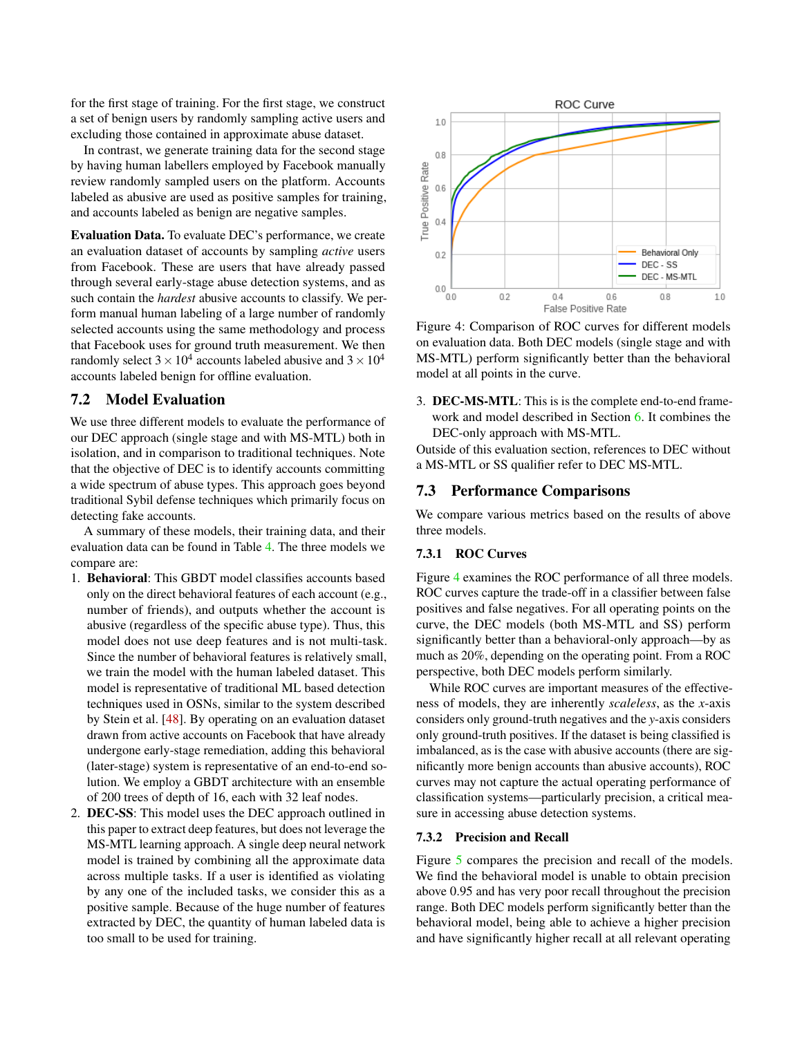for the first stage of training. For the first stage, we construct a set of benign users by randomly sampling active users and excluding those contained in approximate abuse dataset.

In contrast, we generate training data for the second stage by having human labellers employed by Facebook manually review randomly sampled users on the platform. Accounts labeled as abusive are used as positive samples for training, and accounts labeled as benign are negative samples.

Evaluation Data. To evaluate DEC's performance, we create an evaluation dataset of accounts by sampling *active* users from Facebook. These are users that have already passed through several early-stage abuse detection systems, and as such contain the *hardest* abusive accounts to classify. We perform manual human labeling of a large number of randomly selected accounts using the same methodology and process that Facebook uses for ground truth measurement. We then randomly select  $3 \times 10^4$  accounts labeled abusive and  $3 \times 10^4$ accounts labeled benign for offline evaluation.

## <span id="page-10-0"></span>7.2 Model Evaluation

We use three different models to evaluate the performance of our DEC approach (single stage and with MS-MTL) both in isolation, and in comparison to traditional techniques. Note that the objective of DEC is to identify accounts committing a wide spectrum of abuse types. This approach goes beyond traditional Sybil defense techniques which primarily focus on detecting fake accounts.

A summary of these models, their training data, and their evaluation data can be found in Table [4.](#page-11-0) The three models we compare are:

- 1. Behavioral: This GBDT model classifies accounts based only on the direct behavioral features of each account (e.g., number of friends), and outputs whether the account is abusive (regardless of the specific abuse type). Thus, this model does not use deep features and is not multi-task. Since the number of behavioral features is relatively small, we train the model with the human labeled dataset. This model is representative of traditional ML based detection techniques used in OSNs, similar to the system described by Stein et al. [\[48\]](#page-17-1). By operating on an evaluation dataset drawn from active accounts on Facebook that have already undergone early-stage remediation, adding this behavioral (later-stage) system is representative of an end-to-end solution. We employ a GBDT architecture with an ensemble of 200 trees of depth of 16, each with 32 leaf nodes.
- 2. DEC-SS: This model uses the DEC approach outlined in this paper to extract deep features, but does not leverage the MS-MTL learning approach. A single deep neural network model is trained by combining all the approximate data across multiple tasks. If a user is identified as violating by any one of the included tasks, we consider this as a positive sample. Because of the huge number of features extracted by DEC, the quantity of human labeled data is too small to be used for training.

<span id="page-10-1"></span>

Figure 4: Comparison of ROC curves for different models on evaluation data. Both DEC models (single stage and with MS-MTL) perform significantly better than the behavioral model at all points in the curve.

3. DEC-MS-MTL: This is is the complete end-to-end framework and model described in Section [6.](#page-7-0) It combines the DEC-only approach with MS-MTL.

Outside of this evaluation section, references to DEC without a MS-MTL or SS qualifier refer to DEC MS-MTL.

### 7.3 Performance Comparisons

We compare various metrics based on the results of above three models.

### 7.3.1 ROC Curves

Figure [4](#page-10-1) examines the ROC performance of all three models. ROC curves capture the trade-off in a classifier between false positives and false negatives. For all operating points on the curve, the DEC models (both MS-MTL and SS) perform significantly better than a behavioral-only approach—by as much as 20%, depending on the operating point. From a ROC perspective, both DEC models perform similarly.

While ROC curves are important measures of the effectiveness of models, they are inherently *scaleless*, as the *x*-axis considers only ground-truth negatives and the *y*-axis considers only ground-truth positives. If the dataset is being classified is imbalanced, as is the case with abusive accounts (there are significantly more benign accounts than abusive accounts), ROC curves may not capture the actual operating performance of classification systems—particularly precision, a critical measure in accessing abuse detection systems.

#### 7.3.2 Precision and Recall

Figure [5](#page-11-1) compares the precision and recall of the models. We find the behavioral model is unable to obtain precision above 0.95 and has very poor recall throughout the precision range. Both DEC models perform significantly better than the behavioral model, being able to achieve a higher precision and have significantly higher recall at all relevant operating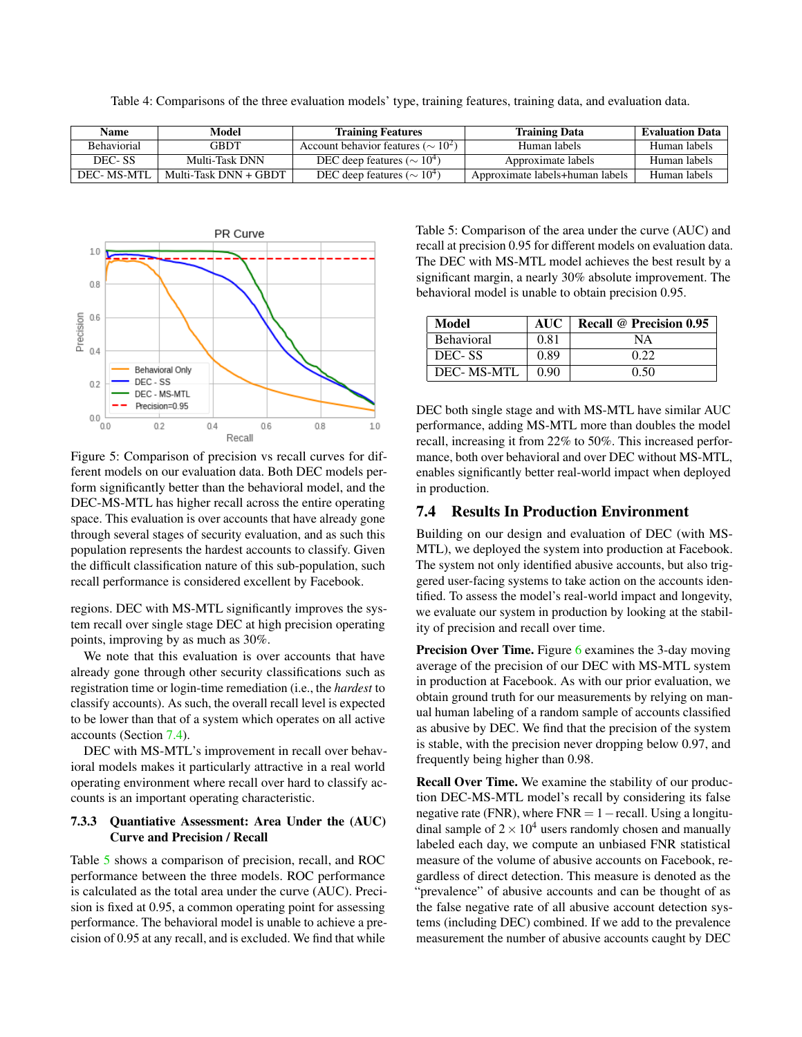Table 4: Comparisons of the three evaluation models' type, training features, training data, and evaluation data.

<span id="page-11-0"></span>

| Name               | Model                 | <b>Training Features</b>                  | <b>Training Data</b>            | <b>Evaluation Data</b> |
|--------------------|-----------------------|-------------------------------------------|---------------------------------|------------------------|
| <b>Behaviorial</b> | GBDT                  | Account behavior features ( $\sim 10^2$ ) | Human labels                    | Human labels           |
| DEC-SS             | Multi-Task DNN        | DEC deep features ( $\sim 10^4$ )         | Approximate labels              | Human labels           |
| DEC-MS-MTL         | Multi-Task DNN + GBDT | DEC deep features ( $\sim 10^4$ )         | Approximate labels+human labels | Human labels           |

<span id="page-11-1"></span>

Figure 5: Comparison of precision vs recall curves for different models on our evaluation data. Both DEC models perform significantly better than the behavioral model, and the DEC-MS-MTL has higher recall across the entire operating space. This evaluation is over accounts that have already gone through several stages of security evaluation, and as such this population represents the hardest accounts to classify. Given the difficult classification nature of this sub-population, such recall performance is considered excellent by Facebook.

regions. DEC with MS-MTL significantly improves the system recall over single stage DEC at high precision operating points, improving by as much as 30%.

We note that this evaluation is over accounts that have already gone through other security classifications such as registration time or login-time remediation (i.e., the *hardest* to classify accounts). As such, the overall recall level is expected to be lower than that of a system which operates on all active accounts (Section [7.4\)](#page-12-2).

DEC with MS-MTL's improvement in recall over behavioral models makes it particularly attractive in a real world operating environment where recall over hard to classify accounts is an important operating characteristic.

### 7.3.3 Quantiative Assessment: Area Under the (AUC) Curve and Precision / Recall

Table [5](#page-11-2) shows a comparison of precision, recall, and ROC performance between the three models. ROC performance is calculated as the total area under the curve (AUC). Precision is fixed at 0.95, a common operating point for assessing performance. The behavioral model is unable to achieve a precision of 0.95 at any recall, and is excluded. We find that while

<span id="page-11-2"></span>Table 5: Comparison of the area under the curve (AUC) and recall at precision 0.95 for different models on evaluation data. The DEC with MS-MTL model achieves the best result by a significant margin, a nearly 30% absolute improvement. The behavioral model is unable to obtain precision 0.95.

| Model              | <b>AUC</b> | Recall @ Precision 0.95 |
|--------------------|------------|-------------------------|
| <b>Behavioral</b>  | 0.81       | ΝA                      |
| DEC-SS             | 0.89       | 0.22                    |
| <b>DEC- MS-MTL</b> | 0.90       | 0.50                    |

DEC both single stage and with MS-MTL have similar AUC performance, adding MS-MTL more than doubles the model recall, increasing it from 22% to 50%. This increased performance, both over behavioral and over DEC without MS-MTL, enables significantly better real-world impact when deployed in production.

### 7.4 Results In Production Environment

Building on our design and evaluation of DEC (with MS-MTL), we deployed the system into production at Facebook. The system not only identified abusive accounts, but also triggered user-facing systems to take action on the accounts identified. To assess the model's real-world impact and longevity, we evaluate our system in production by looking at the stability of precision and recall over time.

**Precision Over Time.** Figure [6](#page-12-0) examines the 3-day moving average of the precision of our DEC with MS-MTL system in production at Facebook. As with our prior evaluation, we obtain ground truth for our measurements by relying on manual human labeling of a random sample of accounts classified as abusive by DEC. We find that the precision of the system is stable, with the precision never dropping below 0.97, and frequently being higher than 0.98.

Recall Over Time. We examine the stability of our production DEC-MS-MTL model's recall by considering its false negative rate (FNR), where  $FNR = 1 - \text{recall}$ . Using a longitudinal sample of  $2 \times 10^4$  users randomly chosen and manually labeled each day, we compute an unbiased FNR statistical measure of the volume of abusive accounts on Facebook, regardless of direct detection. This measure is denoted as the "prevalence" of abusive accounts and can be thought of as the false negative rate of all abusive account detection systems (including DEC) combined. If we add to the prevalence measurement the number of abusive accounts caught by DEC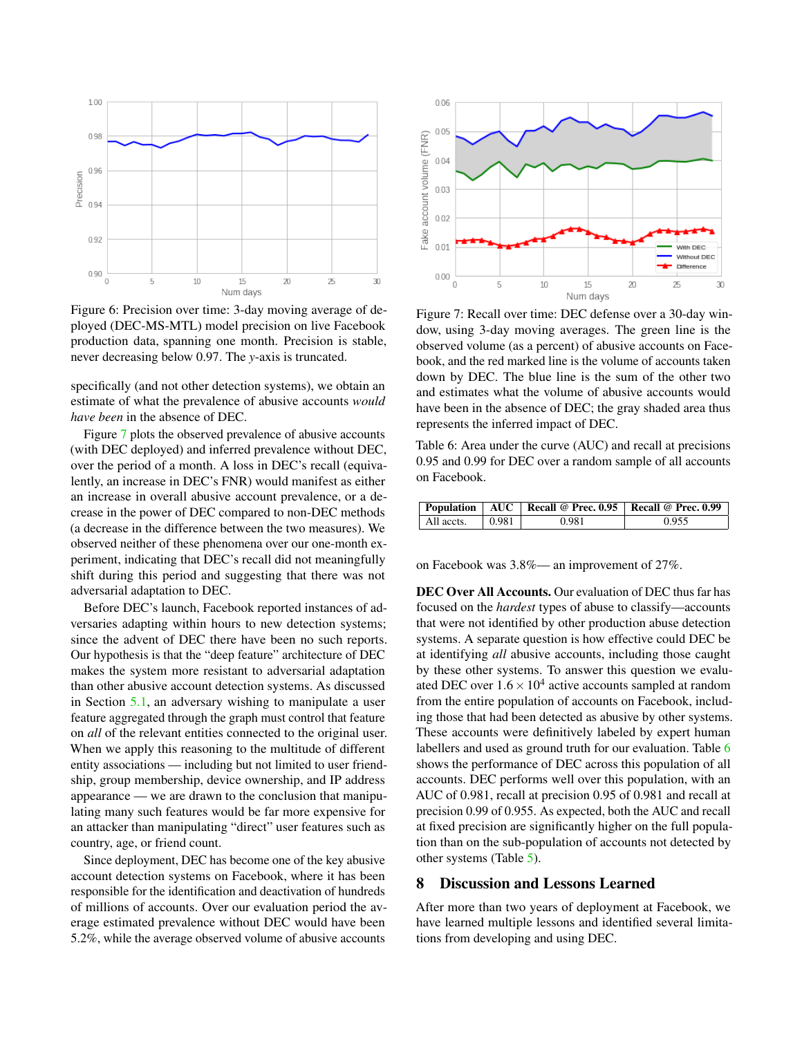<span id="page-12-0"></span>

Figure 6: Precision over time: 3-day moving average of deployed (DEC-MS-MTL) model precision on live Facebook production data, spanning one month. Precision is stable, never decreasing below 0.97. The *y*-axis is truncated.

specifically (and not other detection systems), we obtain an estimate of what the prevalence of abusive accounts *would have been* in the absence of DEC.

Figure [7](#page-12-2) plots the observed prevalence of abusive accounts (with DEC deployed) and inferred prevalence without DEC, over the period of a month. A loss in DEC's recall (equivalently, an increase in DEC's FNR) would manifest as either an increase in overall abusive account prevalence, or a decrease in the power of DEC compared to non-DEC methods (a decrease in the difference between the two measures). We observed neither of these phenomena over our one-month experiment, indicating that DEC's recall did not meaningfully shift during this period and suggesting that there was not adversarial adaptation to DEC.

Before DEC's launch, Facebook reported instances of adversaries adapting within hours to new detection systems; since the advent of DEC there have been no such reports. Our hypothesis is that the "deep feature" architecture of DEC makes the system more resistant to adversarial adaptation than other abusive account detection systems. As discussed in Section [5.1,](#page-5-2) an adversary wishing to manipulate a user feature aggregated through the graph must control that feature on *all* of the relevant entities connected to the original user. When we apply this reasoning to the multitude of different entity associations — including but not limited to user friendship, group membership, device ownership, and IP address appearance — we are drawn to the conclusion that manipulating many such features would be far more expensive for an attacker than manipulating "direct" user features such as country, age, or friend count.

Since deployment, DEC has become one of the key abusive account detection systems on Facebook, where it has been responsible for the identification and deactivation of hundreds of millions of accounts. Over our evaluation period the average estimated prevalence without DEC would have been 5.2%, while the average observed volume of abusive accounts

<span id="page-12-2"></span>

Figure 7: Recall over time: DEC defense over a 30-day window, using 3-day moving averages. The green line is the observed volume (as a percent) of abusive accounts on Facebook, and the red marked line is the volume of accounts taken down by DEC. The blue line is the sum of the other two and estimates what the volume of abusive accounts would have been in the absence of DEC; the gray shaded area thus represents the inferred impact of DEC.

<span id="page-12-3"></span>Table 6: Area under the curve (AUC) and recall at precisions 0.95 and 0.99 for DEC over a random sample of all accounts on Facebook.

|            |       | Population   AUC   Recall @ Prec. 0.95   Recall @ Prec. 0.99 |       |
|------------|-------|--------------------------------------------------------------|-------|
| All accts. | 0.981 | 0.981                                                        | 0.955 |

on Facebook was 3.8%— an improvement of 27%.

DEC Over All Accounts. Our evaluation of DEC thus far has focused on the *hardest* types of abuse to classify—accounts that were not identified by other production abuse detection systems. A separate question is how effective could DEC be at identifying *all* abusive accounts, including those caught by these other systems. To answer this question we evaluated DEC over  $1.6 \times 10^4$  active accounts sampled at random from the entire population of accounts on Facebook, including those that had been detected as abusive by other systems. These accounts were definitively labeled by expert human labellers and used as ground truth for our evaluation. Table [6](#page-12-3) shows the performance of DEC across this population of all accounts. DEC performs well over this population, with an AUC of 0.981, recall at precision 0.95 of 0.981 and recall at precision 0.99 of 0.955. As expected, both the AUC and recall at fixed precision are significantly higher on the full population than on the sub-population of accounts not detected by other systems (Table [5\)](#page-11-2).

### <span id="page-12-1"></span>8 Discussion and Lessons Learned

<span id="page-12-4"></span>After more than two years of deployment at Facebook, we have learned multiple lessons and identified several limitations from developing and using DEC.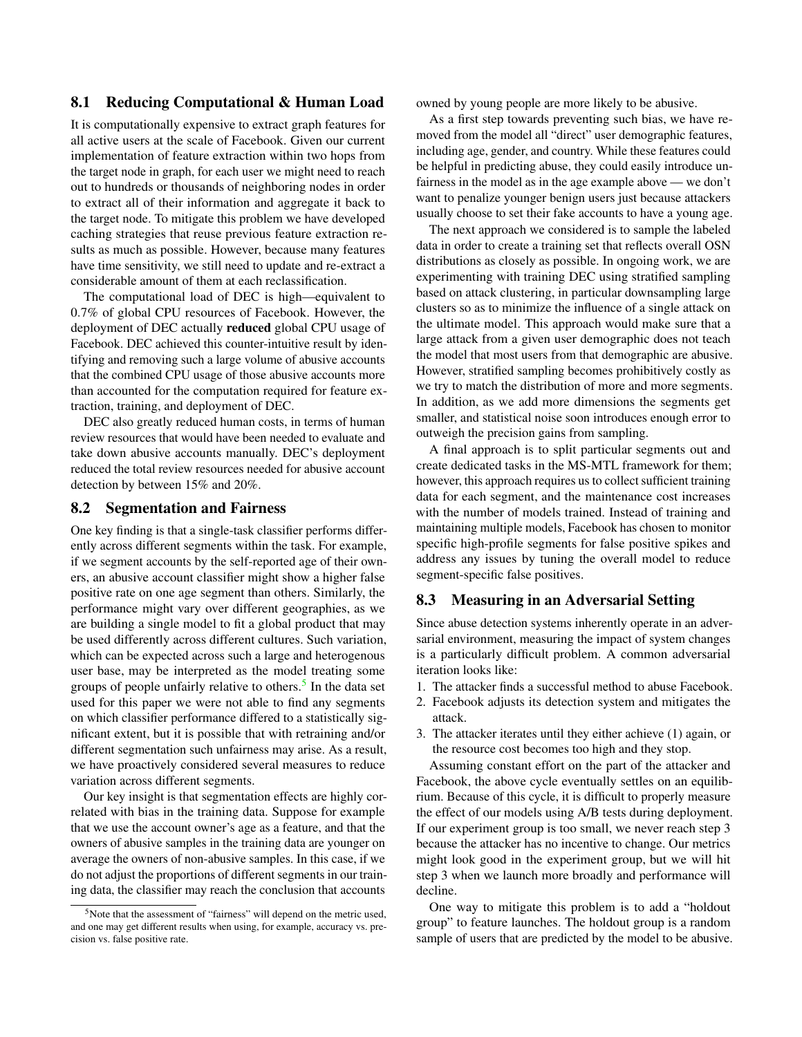## 8.1 Reducing Computational & Human Load

It is computationally expensive to extract graph features for all active users at the scale of Facebook. Given our current implementation of feature extraction within two hops from the target node in graph, for each user we might need to reach out to hundreds or thousands of neighboring nodes in order to extract all of their information and aggregate it back to the target node. To mitigate this problem we have developed caching strategies that reuse previous feature extraction results as much as possible. However, because many features have time sensitivity, we still need to update and re-extract a considerable amount of them at each reclassification.

The computational load of DEC is high—equivalent to 0.7% of global CPU resources of Facebook. However, the deployment of DEC actually reduced global CPU usage of Facebook. DEC achieved this counter-intuitive result by identifying and removing such a large volume of abusive accounts that the combined CPU usage of those abusive accounts more than accounted for the computation required for feature extraction, training, and deployment of DEC.

DEC also greatly reduced human costs, in terms of human review resources that would have been needed to evaluate and take down abusive accounts manually. DEC's deployment reduced the total review resources needed for abusive account detection by between 15% and 20%.

### 8.2 Segmentation and Fairness

One key finding is that a single-task classifier performs differently across different segments within the task. For example, if we segment accounts by the self-reported age of their owners, an abusive account classifier might show a higher false positive rate on one age segment than others. Similarly, the performance might vary over different geographies, as we are building a single model to fit a global product that may be used differently across different cultures. Such variation, which can be expected across such a large and heterogenous user base, may be interpreted as the model treating some groups of people unfairly relative to others.<sup>[5](#page-13-0)</sup> In the data set used for this paper we were not able to find any segments on which classifier performance differed to a statistically significant extent, but it is possible that with retraining and/or different segmentation such unfairness may arise. As a result, we have proactively considered several measures to reduce variation across different segments.

Our key insight is that segmentation effects are highly correlated with bias in the training data. Suppose for example that we use the account owner's age as a feature, and that the owners of abusive samples in the training data are younger on average the owners of non-abusive samples. In this case, if we do not adjust the proportions of different segments in our training data, the classifier may reach the conclusion that accounts

owned by young people are more likely to be abusive.

As a first step towards preventing such bias, we have removed from the model all "direct" user demographic features, including age, gender, and country. While these features could be helpful in predicting abuse, they could easily introduce unfairness in the model as in the age example above — we don't want to penalize younger benign users just because attackers usually choose to set their fake accounts to have a young age.

The next approach we considered is to sample the labeled data in order to create a training set that reflects overall OSN distributions as closely as possible. In ongoing work, we are experimenting with training DEC using stratified sampling based on attack clustering, in particular downsampling large clusters so as to minimize the influence of a single attack on the ultimate model. This approach would make sure that a large attack from a given user demographic does not teach the model that most users from that demographic are abusive. However, stratified sampling becomes prohibitively costly as we try to match the distribution of more and more segments. In addition, as we add more dimensions the segments get smaller, and statistical noise soon introduces enough error to outweigh the precision gains from sampling.

A final approach is to split particular segments out and create dedicated tasks in the MS-MTL framework for them; however, this approach requires us to collect sufficient training data for each segment, and the maintenance cost increases with the number of models trained. Instead of training and maintaining multiple models, Facebook has chosen to monitor specific high-profile segments for false positive spikes and address any issues by tuning the overall model to reduce segment-specific false positives.

### 8.3 Measuring in an Adversarial Setting

Since abuse detection systems inherently operate in an adversarial environment, measuring the impact of system changes is a particularly difficult problem. A common adversarial iteration looks like:

- 1. The attacker finds a successful method to abuse Facebook.
- 2. Facebook adjusts its detection system and mitigates the attack.
- 3. The attacker iterates until they either achieve (1) again, or the resource cost becomes too high and they stop.

Assuming constant effort on the part of the attacker and Facebook, the above cycle eventually settles on an equilibrium. Because of this cycle, it is difficult to properly measure the effect of our models using A/B tests during deployment. If our experiment group is too small, we never reach step 3 because the attacker has no incentive to change. Our metrics might look good in the experiment group, but we will hit step 3 when we launch more broadly and performance will decline.

One way to mitigate this problem is to add a "holdout group" to feature launches. The holdout group is a random sample of users that are predicted by the model to be abusive.

<span id="page-13-0"></span><sup>&</sup>lt;sup>5</sup>Note that the assessment of "fairness" will depend on the metric used, and one may get different results when using, for example, accuracy vs. precision vs. false positive rate.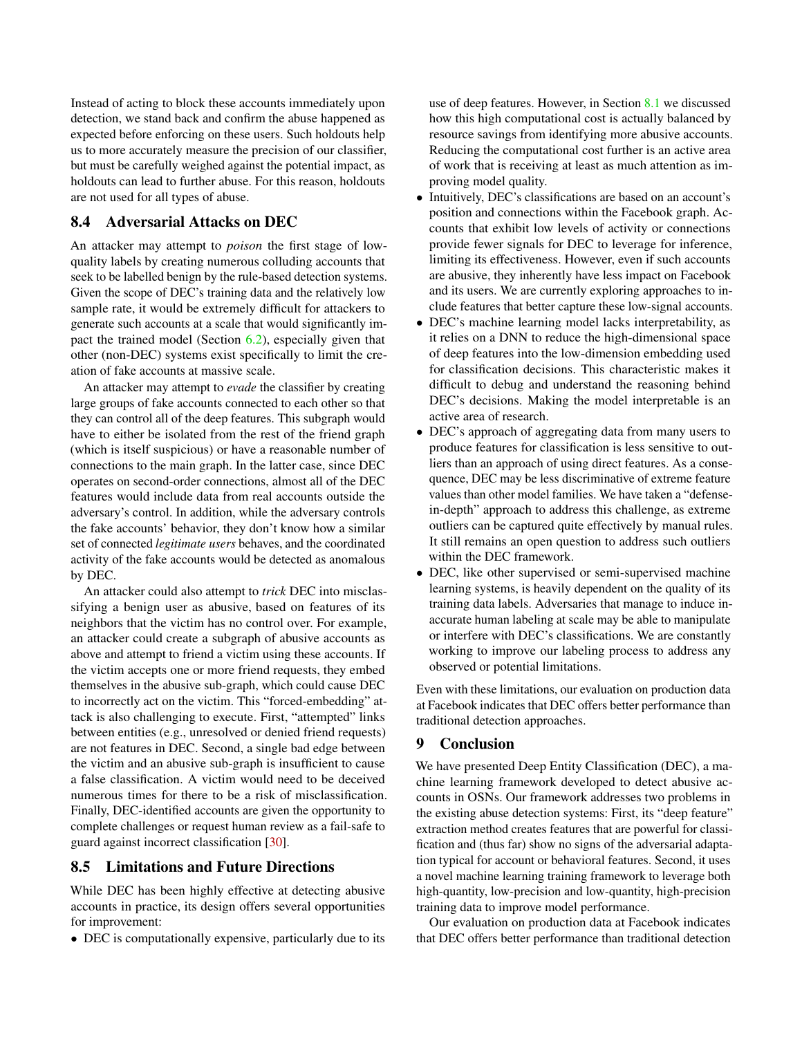Instead of acting to block these accounts immediately upon detection, we stand back and confirm the abuse happened as expected before enforcing on these users. Such holdouts help us to more accurately measure the precision of our classifier, but must be carefully weighed against the potential impact, as holdouts can lead to further abuse. For this reason, holdouts are not used for all types of abuse.

## <span id="page-14-0"></span>8.4 Adversarial Attacks on DEC

An attacker may attempt to *poison* the first stage of lowquality labels by creating numerous colluding accounts that seek to be labelled benign by the rule-based detection systems. Given the scope of DEC's training data and the relatively low sample rate, it would be extremely difficult for attackers to generate such accounts at a scale that would significantly impact the trained model (Section [6.2\)](#page-8-0), especially given that other (non-DEC) systems exist specifically to limit the creation of fake accounts at massive scale.

An attacker may attempt to *evade* the classifier by creating large groups of fake accounts connected to each other so that they can control all of the deep features. This subgraph would have to either be isolated from the rest of the friend graph (which is itself suspicious) or have a reasonable number of connections to the main graph. In the latter case, since DEC operates on second-order connections, almost all of the DEC features would include data from real accounts outside the adversary's control. In addition, while the adversary controls the fake accounts' behavior, they don't know how a similar set of connected *legitimate users* behaves, and the coordinated activity of the fake accounts would be detected as anomalous by DEC.

An attacker could also attempt to *trick* DEC into misclassifying a benign user as abusive, based on features of its neighbors that the victim has no control over. For example, an attacker could create a subgraph of abusive accounts as above and attempt to friend a victim using these accounts. If the victim accepts one or more friend requests, they embed themselves in the abusive sub-graph, which could cause DEC to incorrectly act on the victim. This "forced-embedding" attack is also challenging to execute. First, "attempted" links between entities (e.g., unresolved or denied friend requests) are not features in DEC. Second, a single bad edge between the victim and an abusive sub-graph is insufficient to cause a false classification. A victim would need to be deceived numerous times for there to be a risk of misclassification. Finally, DEC-identified accounts are given the opportunity to complete challenges or request human review as a fail-safe to guard against incorrect classification [\[30\]](#page-16-24).

### 8.5 Limitations and Future Directions

While DEC has been highly effective at detecting abusive accounts in practice, its design offers several opportunities for improvement:

• DEC is computationally expensive, particularly due to its

use of deep features. However, in Section [8.1](#page-12-4) we discussed how this high computational cost is actually balanced by resource savings from identifying more abusive accounts. Reducing the computational cost further is an active area of work that is receiving at least as much attention as improving model quality.

- Intuitively, DEC's classifications are based on an account's position and connections within the Facebook graph. Accounts that exhibit low levels of activity or connections provide fewer signals for DEC to leverage for inference, limiting its effectiveness. However, even if such accounts are abusive, they inherently have less impact on Facebook and its users. We are currently exploring approaches to include features that better capture these low-signal accounts.
- DEC's machine learning model lacks interpretability, as it relies on a DNN to reduce the high-dimensional space of deep features into the low-dimension embedding used for classification decisions. This characteristic makes it difficult to debug and understand the reasoning behind DEC's decisions. Making the model interpretable is an active area of research.
- DEC's approach of aggregating data from many users to produce features for classification is less sensitive to outliers than an approach of using direct features. As a consequence, DEC may be less discriminative of extreme feature values than other model families. We have taken a "defensein-depth" approach to address this challenge, as extreme outliers can be captured quite effectively by manual rules. It still remains an open question to address such outliers within the DEC framework.
- DEC, like other supervised or semi-supervised machine learning systems, is heavily dependent on the quality of its training data labels. Adversaries that manage to induce inaccurate human labeling at scale may be able to manipulate or interfere with DEC's classifications. We are constantly working to improve our labeling process to address any observed or potential limitations.

Even with these limitations, our evaluation on production data at Facebook indicates that DEC offers better performance than traditional detection approaches.

### 9 Conclusion

We have presented Deep Entity Classification (DEC), a machine learning framework developed to detect abusive accounts in OSNs. Our framework addresses two problems in the existing abuse detection systems: First, its "deep feature" extraction method creates features that are powerful for classification and (thus far) show no signs of the adversarial adaptation typical for account or behavioral features. Second, it uses a novel machine learning training framework to leverage both high-quantity, low-precision and low-quantity, high-precision training data to improve model performance.

Our evaluation on production data at Facebook indicates that DEC offers better performance than traditional detection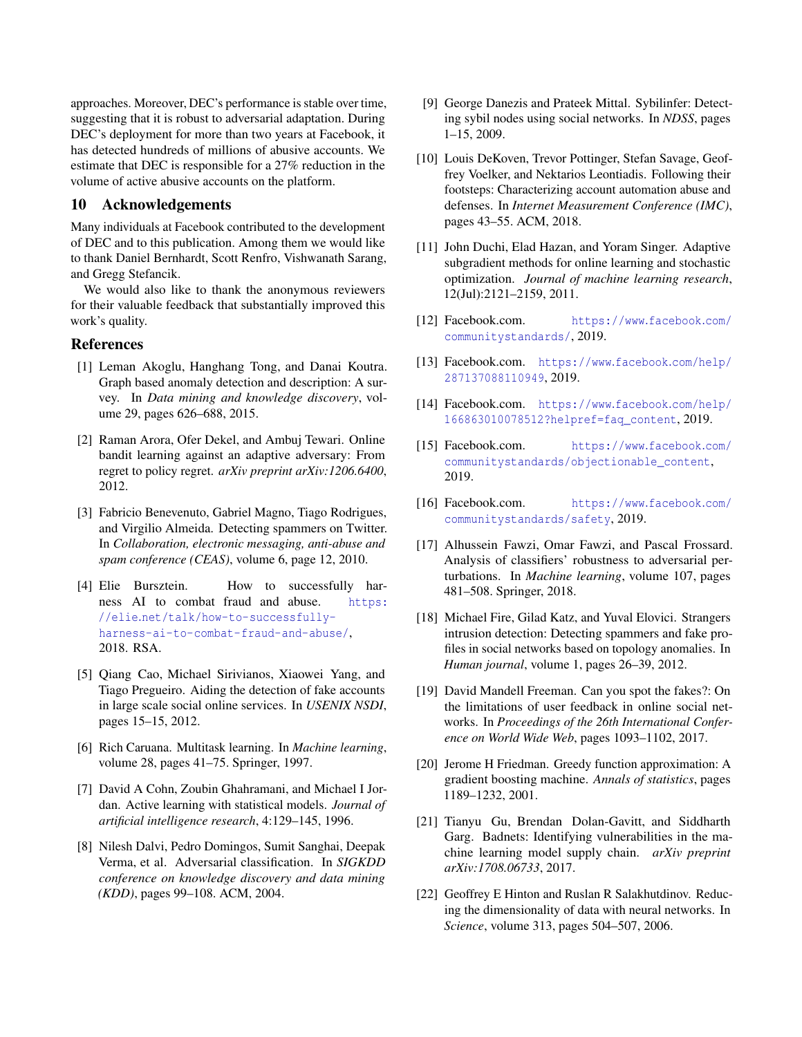approaches. Moreover, DEC's performance is stable over time, suggesting that it is robust to adversarial adaptation. During DEC's deployment for more than two years at Facebook, it has detected hundreds of millions of abusive accounts. We estimate that DEC is responsible for a 27% reduction in the volume of active abusive accounts on the platform.

## 10 Acknowledgements

Many individuals at Facebook contributed to the development of DEC and to this publication. Among them we would like to thank Daniel Bernhardt, Scott Renfro, Vishwanath Sarang, and Gregg Stefancik.

We would also like to thank the anonymous reviewers for their valuable feedback that substantially improved this work's quality.

### References

- <span id="page-15-1"></span>[1] Leman Akoglu, Hanghang Tong, and Danai Koutra. Graph based anomaly detection and description: A survey. In *Data mining and knowledge discovery*, volume 29, pages 626–688, 2015.
- <span id="page-15-16"></span>[2] Raman Arora, Ofer Dekel, and Ambuj Tewari. Online bandit learning against an adaptive adversary: From regret to policy regret. *arXiv preprint arXiv:1206.6400*, 2012.
- <span id="page-15-14"></span>[3] Fabricio Benevenuto, Gabriel Magno, Tiago Rodrigues, and Virgilio Almeida. Detecting spammers on Twitter. In *Collaboration, electronic messaging, anti-abuse and spam conference (CEAS)*, volume 6, page 12, 2010.
- <span id="page-15-2"></span>[4] Elie Bursztein. How to successfully harness AI to combat fraud and abuse. [https:](https://elie.net/talk/how-to-successfully-harness-ai-to-combat-fraud-and-abuse/) //elie.[net/talk/how-to-successfully](https://elie.net/talk/how-to-successfully-harness-ai-to-combat-fraud-and-abuse/)[harness-ai-to-combat-fraud-and-abuse/](https://elie.net/talk/how-to-successfully-harness-ai-to-combat-fraud-and-abuse/), 2018. RSA.
- <span id="page-15-13"></span>[5] Qiang Cao, Michael Sirivianos, Xiaowei Yang, and Tiago Pregueiro. Aiding the detection of fake accounts in large scale social online services. In *USENIX NSDI*, pages 15–15, 2012.
- <span id="page-15-5"></span>[6] Rich Caruana. Multitask learning. In *Machine learning*, volume 28, pages 41–75. Springer, 1997.
- <span id="page-15-17"></span>[7] David A Cohn, Zoubin Ghahramani, and Michael I Jordan. Active learning with statistical models. *Journal of artificial intelligence research*, 4:129–145, 1996.
- <span id="page-15-3"></span>[8] Nilesh Dalvi, Pedro Domingos, Sumit Sanghai, Deepak Verma, et al. Adversarial classification. In *SIGKDD conference on knowledge discovery and data mining (KDD)*, pages 99–108. ACM, 2004.
- <span id="page-15-12"></span>[9] George Danezis and Prateek Mittal. Sybilinfer: Detecting sybil nodes using social networks. In *NDSS*, pages 1–15, 2009.
- <span id="page-15-10"></span>[10] Louis DeKoven, Trevor Pottinger, Stefan Savage, Geoffrey Voelker, and Nektarios Leontiadis. Following their footsteps: Characterizing account automation abuse and defenses. In *Internet Measurement Conference (IMC)*, pages 43–55. ACM, 2018.
- <span id="page-15-19"></span>[11] John Duchi, Elad Hazan, and Yoram Singer. Adaptive subgradient methods for online learning and stochastic optimization. *Journal of machine learning research*, 12(Jul):2121–2159, 2011.
- <span id="page-15-0"></span>[12] Facebook.com. [https://www](https://www.facebook.com/communitystandards/).facebook.com/ [communitystandards/](https://www.facebook.com/communitystandards/), 2019.
- <span id="page-15-7"></span>[13] Facebook.com. [https://www](https://www.facebook.com/help/287137088110949).facebook.com/help/ [287137088110949](https://www.facebook.com/help/287137088110949), 2019.
- [14] Facebook.com. [https://www](https://www.facebook.com/help/166863010078512?helpref=faq_content).facebook.com/help/ [166863010078512?helpref=faq\\_content](https://www.facebook.com/help/166863010078512?helpref=faq_content), 2019.
- <span id="page-15-8"></span>[15] Facebook.com. [https://www](https://www.facebook.com/communitystandards/objectionable_content).facebook.com/ [communitystandards/objectionable\\_content](https://www.facebook.com/communitystandards/objectionable_content), 2019.
- <span id="page-15-9"></span>[16] Facebook.com. [https://www](https://www.facebook.com/communitystandards/safety).facebook.com/ [communitystandards/safety](https://www.facebook.com/communitystandards/safety), 2019.
- <span id="page-15-4"></span>[17] Alhussein Fawzi, Omar Fawzi, and Pascal Frossard. Analysis of classifiers' robustness to adversarial perturbations. In *Machine learning*, volume 107, pages 481–508. Springer, 2018.
- <span id="page-15-15"></span>[18] Michael Fire, Gilad Katz, and Yuval Elovici. Strangers intrusion detection: Detecting spammers and fake profiles in social networks based on topology anomalies. In *Human journal*, volume 1, pages 26–39, 2012.
- <span id="page-15-20"></span>[19] David Mandell Freeman. Can you spot the fakes?: On the limitations of user feedback in online social networks. In *Proceedings of the 26th International Conference on World Wide Web*, pages 1093–1102, 2017.
- <span id="page-15-11"></span>[20] Jerome H Friedman. Greedy function approximation: A gradient boosting machine. *Annals of statistics*, pages 1189–1232, 2001.
- <span id="page-15-18"></span>[21] Tianyu Gu, Brendan Dolan-Gavitt, and Siddharth Garg. Badnets: Identifying vulnerabilities in the machine learning model supply chain. *arXiv preprint arXiv:1708.06733*, 2017.
- <span id="page-15-6"></span>[22] Geoffrey E Hinton and Ruslan R Salakhutdinov. Reducing the dimensionality of data with neural networks. In *Science*, volume 313, pages 504–507, 2006.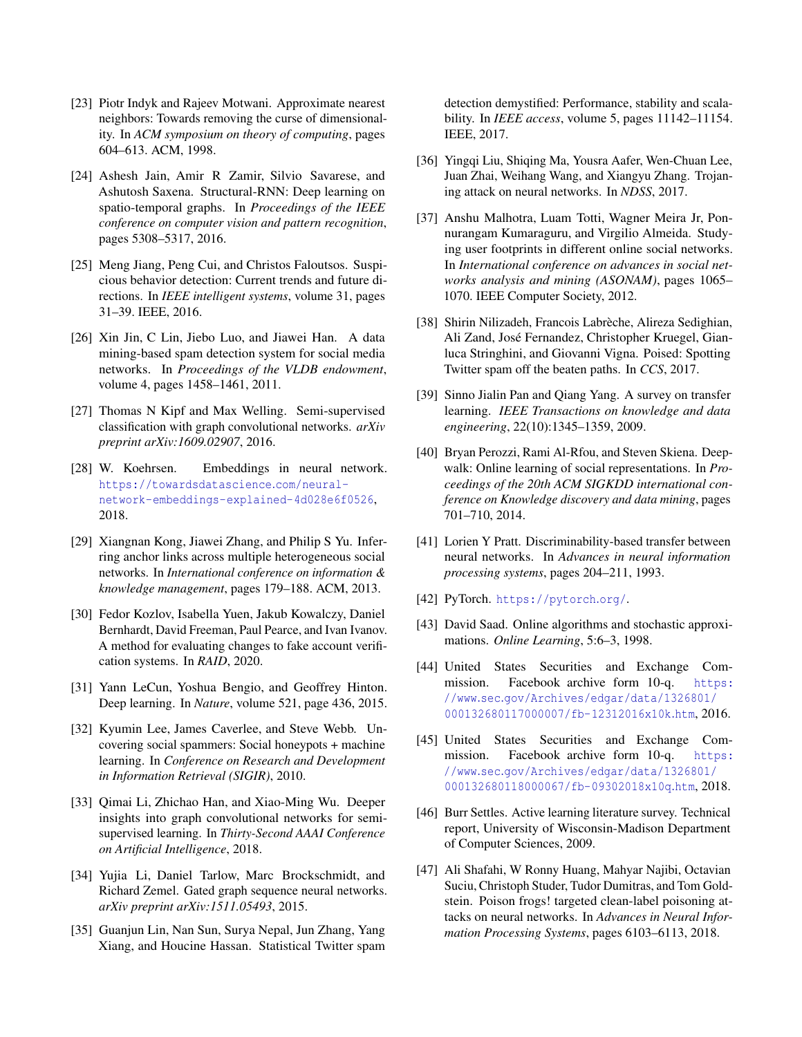- <span id="page-16-20"></span>[23] Piotr Indyk and Rajeev Motwani. Approximate nearest neighbors: Towards removing the curse of dimensionality. In *ACM symposium on theory of computing*, pages 604–613. ACM, 1998.
- <span id="page-16-12"></span>[24] Ashesh Jain, Amir R Zamir, Silvio Savarese, and Ashutosh Saxena. Structural-RNN: Deep learning on spatio-temporal graphs. In *Proceedings of the IEEE conference on computer vision and pattern recognition*, pages 5308–5317, 2016.
- <span id="page-16-3"></span>[25] Meng Jiang, Peng Cui, and Christos Faloutsos. Suspicious behavior detection: Current trends and future directions. In *IEEE intelligent systems*, volume 31, pages 31–39. IEEE, 2016.
- <span id="page-16-2"></span>[26] Xin Jin, C Lin, Jiebo Luo, and Jiawei Han. A data mining-based spam detection system for social media networks. In *Proceedings of the VLDB endowment*, volume 4, pages 1458–1461, 2011.
- <span id="page-16-13"></span>[27] Thomas N Kipf and Max Welling. Semi-supervised classification with graph convolutional networks. *arXiv preprint arXiv:1609.02907*, 2016.
- <span id="page-16-5"></span>[28] W. Koehrsen. Embeddings in neural network. [https://towardsdatascience](https://towardsdatascience.com/neural-network-embeddings-explained-4d028e6f0526).com/neural[network-embeddings-explained-4d028e6f0526](https://towardsdatascience.com/neural-network-embeddings-explained-4d028e6f0526), 2018.
- <span id="page-16-9"></span>[29] Xiangnan Kong, Jiawei Zhang, and Philip S Yu. Inferring anchor links across multiple heterogeneous social networks. In *International conference on information & knowledge management*, pages 179–188. ACM, 2013.
- <span id="page-16-24"></span>[30] Fedor Kozlov, Isabella Yuen, Jakub Kowalczy, Daniel Bernhardt, David Freeman, Paul Pearce, and Ivan Ivanov. A method for evaluating changes to fake account verification systems. In *RAID*, 2020.
- <span id="page-16-4"></span>[31] Yann LeCun, Yoshua Bengio, and Geoffrey Hinton. Deep learning. In *Nature*, volume 521, page 436, 2015.
- <span id="page-16-6"></span>[32] Kyumin Lee, James Caverlee, and Steve Webb. Uncovering social spammers: Social honeypots + machine learning. In *Conference on Research and Development in Information Retrieval (SIGIR)*, 2010.
- <span id="page-16-15"></span>[33] Oimai Li, Zhichao Han, and Xiao-Ming Wu. Deeper insights into graph convolutional networks for semisupervised learning. In *Thirty-Second AAAI Conference on Artificial Intelligence*, 2018.
- <span id="page-16-14"></span>[34] Yujia Li, Daniel Tarlow, Marc Brockschmidt, and Richard Zemel. Gated graph sequence neural networks. *arXiv preprint arXiv:1511.05493*, 2015.
- <span id="page-16-10"></span>[35] Guanjun Lin, Nan Sun, Surya Nepal, Jun Zhang, Yang Xiang, and Houcine Hassan. Statistical Twitter spam

detection demystified: Performance, stability and scalability. In *IEEE access*, volume 5, pages 11142–11154. IEEE, 2017.

- <span id="page-16-21"></span>[36] Yingqi Liu, Shiqing Ma, Yousra Aafer, Wen-Chuan Lee, Juan Zhai, Weihang Wang, and Xiangyu Zhang. Trojaning attack on neural networks. In *NDSS*, 2017.
- <span id="page-16-8"></span>[37] Anshu Malhotra, Luam Totti, Wagner Meira Jr, Ponnurangam Kumaraguru, and Virgilio Almeida. Studying user footprints in different online social networks. In *International conference on advances in social networks analysis and mining (ASONAM)*, pages 1065– 1070. IEEE Computer Society, 2012.
- <span id="page-16-7"></span>[38] Shirin Nilizadeh, Francois Labrèche, Alireza Sedighian, Ali Zand, José Fernandez, Christopher Kruegel, Gianluca Stringhini, and Giovanni Vigna. Poised: Spotting Twitter spam off the beaten paths. In *CCS*, 2017.
- <span id="page-16-16"></span>[39] Sinno Jialin Pan and Qiang Yang. A survey on transfer learning. *IEEE Transactions on knowledge and data engineering*, 22(10):1345–1359, 2009.
- <span id="page-16-11"></span>[40] Bryan Perozzi, Rami Al-Rfou, and Steven Skiena. Deepwalk: Online learning of social representations. In *Proceedings of the 20th ACM SIGKDD international conference on Knowledge discovery and data mining*, pages 701–710, 2014.
- <span id="page-16-19"></span>[41] Lorien Y Pratt. Discriminability-based transfer between neural networks. In *Advances in neural information processing systems*, pages 204–211, 1993.
- <span id="page-16-23"></span>[42] PyTorch. [https://pytorch](https://pytorch.org/).org/.
- <span id="page-16-17"></span>[43] David Saad. Online algorithms and stochastic approximations. *Online Learning*, 5:6–3, 1998.
- <span id="page-16-1"></span>[44] United States Securities and Exchange Commission. Facebook archive form 10-q. [https:](https://www.sec.gov/Archives/edgar/data/1326801/000132680117000007/fb-12312016x10k.htm) //www.sec.[gov/Archives/edgar/data/1326801/](https://www.sec.gov/Archives/edgar/data/1326801/000132680117000007/fb-12312016x10k.htm) [000132680117000007/fb-12312016x10k](https://www.sec.gov/Archives/edgar/data/1326801/000132680117000007/fb-12312016x10k.htm).htm, 2016.
- <span id="page-16-0"></span>[45] United States Securities and Exchange Commission. Facebook archive form 10-q. [https:](https://www.sec.gov/Archives/edgar/data/1326801/000132680118000067/fb-09302018x10q.htm) //www.sec.[gov/Archives/edgar/data/1326801/](https://www.sec.gov/Archives/edgar/data/1326801/000132680118000067/fb-09302018x10q.htm) [000132680118000067/fb-09302018x10q](https://www.sec.gov/Archives/edgar/data/1326801/000132680118000067/fb-09302018x10q.htm).htm, 2018.
- <span id="page-16-18"></span>[46] Burr Settles. Active learning literature survey. Technical report, University of Wisconsin-Madison Department of Computer Sciences, 2009.
- <span id="page-16-22"></span>[47] Ali Shafahi, W Ronny Huang, Mahyar Najibi, Octavian Suciu, Christoph Studer, Tudor Dumitras, and Tom Goldstein. Poison frogs! targeted clean-label poisoning attacks on neural networks. In *Advances in Neural Information Processing Systems*, pages 6103–6113, 2018.